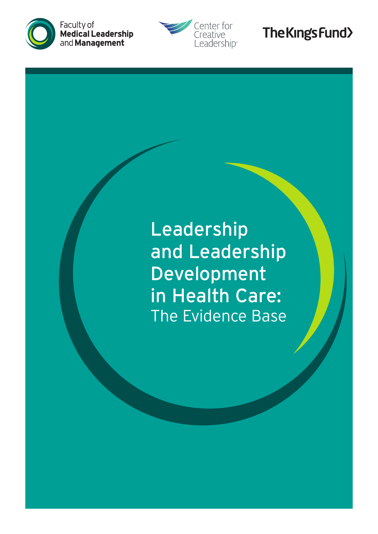



# The King's Fund>

Leadership and Leadership Development in Health Care: The Evidence Base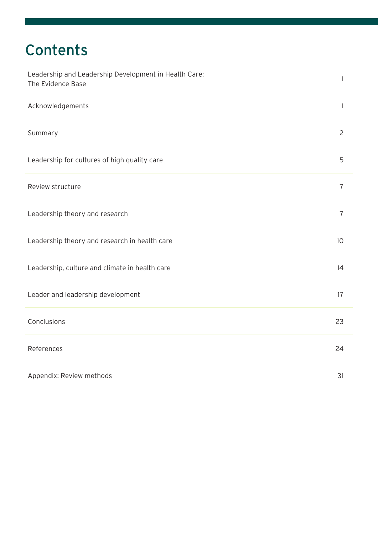# **Contents**

| Leadership and Leadership Development in Health Care:<br>The Evidence Base | 1              |
|----------------------------------------------------------------------------|----------------|
| Acknowledgements                                                           | 1              |
| Summary                                                                    | $\overline{2}$ |
| Leadership for cultures of high quality care                               | 5              |
| Review structure                                                           | $\overline{7}$ |
| Leadership theory and research                                             | $\overline{7}$ |
| Leadership theory and research in health care                              | 10             |
| Leadership, culture and climate in health care                             | 14             |
| Leader and leadership development                                          | 17             |
| Conclusions                                                                | 23             |
| References                                                                 | 24             |
| Appendix: Review methods                                                   | 31             |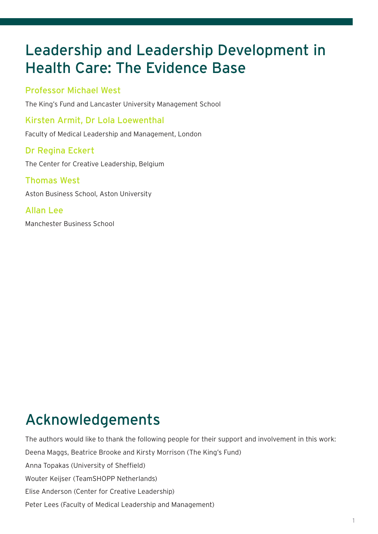## Leadership and Leadership Development in Health Care: The Evidence Base

#### Professor Michael West

The King's Fund and Lancaster University Management School

Kirsten Armit, Dr Lola Loewenthal

Faculty of Medical Leadership and Management, London

### Dr Regina Eckert

The Center for Creative Leadership, Belgium

#### Thomas West

Aston Business School, Aston University

### Allan Lee

Manchester Business School

# Acknowledgements

The authors would like to thank the following people for their support and involvement in this work: Deena Maggs, Beatrice Brooke and Kirsty Morrison (The King's Fund) Anna Topakas (University of Sheffield) Wouter Keijser (TeamSHOPP Netherlands) Elise Anderson (Center for Creative Leadership) Peter Lees (Faculty of Medical Leadership and Management)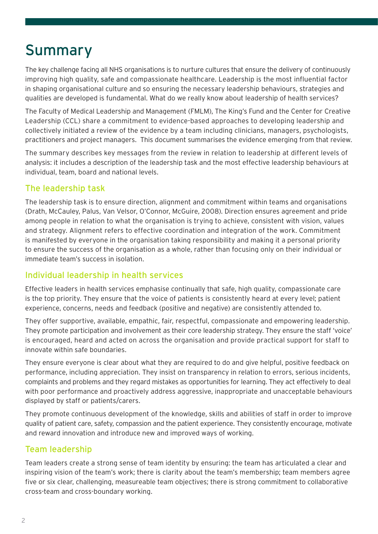### Summary

The key challenge facing all NHS organisations is to nurture cultures that ensure the delivery of continuously improving high quality, safe and compassionate healthcare. Leadership is the most influential factor in shaping organisational culture and so ensuring the necessary leadership behaviours, strategies and qualities are developed is fundamental. What do we really know about leadership of health services?

The Faculty of Medical Leadership and Management (FMLM), The King's Fund and the Center for Creative Leadership (CCL) share a commitment to evidence-based approaches to developing leadership and collectively initiated a review of the evidence by a team including clinicians, managers, psychologists, practitioners and project managers. This document summarises the evidence emerging from that review.

The summary describes key messages from the review in relation to leadership at different levels of analysis: it includes a description of the leadership task and the most effective leadership behaviours at individual, team, board and national levels.

#### The leadership task

The leadership task is to ensure direction, alignment and commitment within teams and organisations (Drath, McCauley, Palus, Van Velsor, O'Connor, McGuire, 2008). Direction ensures agreement and pride among people in relation to what the organisation is trying to achieve, consistent with vision, values and strategy. Alignment refers to effective coordination and integration of the work. Commitment is manifested by everyone in the organisation taking responsibility and making it a personal priority to ensure the success of the organisation as a whole, rather than focusing only on their individual or immediate team's success in isolation.

#### Individual leadership in health services

Effective leaders in health services emphasise continually that safe, high quality, compassionate care is the top priority. They ensure that the voice of patients is consistently heard at every level; patient experience, concerns, needs and feedback (positive and negative) are consistently attended to.

They offer supportive, available, empathic, fair, respectful, compassionate and empowering leadership. They promote participation and involvement as their core leadership strategy. They ensure the staff 'voice' is encouraged, heard and acted on across the organisation and provide practical support for staff to innovate within safe boundaries.

They ensure everyone is clear about what they are required to do and give helpful, positive feedback on performance, including appreciation. They insist on transparency in relation to errors, serious incidents, complaints and problems and they regard mistakes as opportunities for learning. They act effectively to deal with poor performance and proactively address aggressive, inappropriate and unacceptable behaviours displayed by staff or patients/carers.

They promote continuous development of the knowledge, skills and abilities of staff in order to improve quality of patient care, safety, compassion and the patient experience. They consistently encourage, motivate and reward innovation and introduce new and improved ways of working.

#### Team leadership

Team leaders create a strong sense of team identity by ensuring: the team has articulated a clear and inspiring vision of the team's work; there is clarity about the team's membership; team members agree five or six clear, challenging, measureable team objectives; there is strong commitment to collaborative cross-team and cross-boundary working.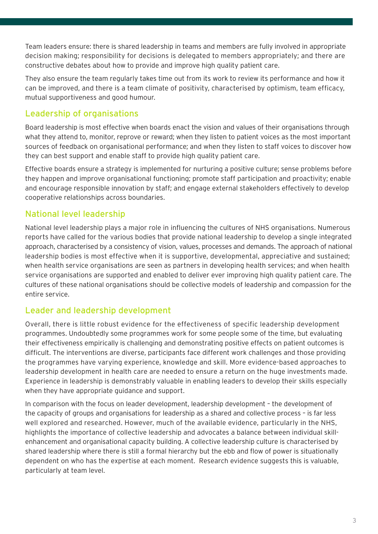Team leaders ensure: there is shared leadership in teams and members are fully involved in appropriate decision making; responsibility for decisions is delegated to members appropriately; and there are constructive debates about how to provide and improve high quality patient care.

They also ensure the team regularly takes time out from its work to review its performance and how it can be improved, and there is a team climate of positivity, characterised by optimism, team efficacy, mutual supportiveness and good humour.

### Leadership of organisations

Board leadership is most effective when boards enact the vision and values of their organisations through what they attend to, monitor, reprove or reward; when they listen to patient voices as the most important sources of feedback on organisational performance; and when they listen to staff voices to discover how they can best support and enable staff to provide high quality patient care.

Effective boards ensure a strategy is implemented for nurturing a positive culture; sense problems before they happen and improve organisational functioning; promote staff participation and proactivity; enable and encourage responsible innovation by staff; and engage external stakeholders effectively to develop cooperative relationships across boundaries.

#### National level leadership

National level leadership plays a major role in influencing the cultures of NHS organisations. Numerous reports have called for the various bodies that provide national leadership to develop a single integrated approach, characterised by a consistency of vision, values, processes and demands. The approach of national leadership bodies is most effective when it is supportive, developmental, appreciative and sustained; when health service organisations are seen as partners in developing health services; and when health service organisations are supported and enabled to deliver ever improving high quality patient care. The cultures of these national organisations should be collective models of leadership and compassion for the entire service.

#### Leader and leadership development

Overall, there is little robust evidence for the effectiveness of specific leadership development programmes. Undoubtedly some programmes work for some people some of the time, but evaluating their effectiveness empirically is challenging and demonstrating positive effects on patient outcomes is difficult. The interventions are diverse, participants face different work challenges and those providing the programmes have varying experience, knowledge and skill. More evidence-based approaches to leadership development in health care are needed to ensure a return on the huge investments made. Experience in leadership is demonstrably valuable in enabling leaders to develop their skills especially when they have appropriate guidance and support.

In comparison with the focus on leader development, leadership development – the development of the capacity of groups and organisations for leadership as a shared and collective process – is far less well explored and researched. However, much of the available evidence, particularly in the NHS, highlights the importance of collective leadership and advocates a balance between individual skillenhancement and organisational capacity building. A collective leadership culture is characterised by shared leadership where there is still a formal hierarchy but the ebb and flow of power is situationally dependent on who has the expertise at each moment. Research evidence suggests this is valuable, particularly at team level.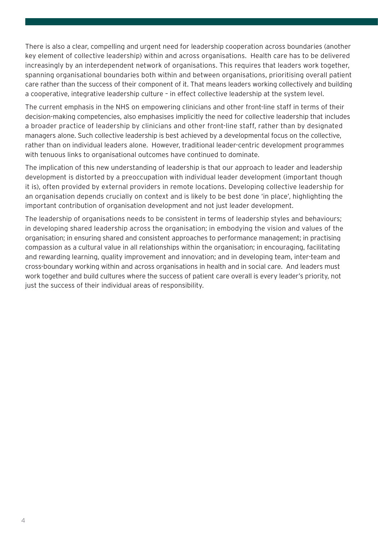There is also a clear, compelling and urgent need for leadership cooperation across boundaries (another key element of collective leadership) within and across organisations. Health care has to be delivered increasingly by an interdependent network of organisations. This requires that leaders work together, spanning organisational boundaries both within and between organisations, prioritising overall patient care rather than the success of their component of it. That means leaders working collectively and building a cooperative, integrative leadership culture – in effect collective leadership at the system level.

The current emphasis in the NHS on empowering clinicians and other front-line staff in terms of their decision-making competencies, also emphasises implicitly the need for collective leadership that includes a broader practice of leadership by clinicians and other front-line staff, rather than by designated managers alone. Such collective leadership is best achieved by a developmental focus on the collective, rather than on individual leaders alone. However, traditional leader-centric development programmes with tenuous links to organisational outcomes have continued to dominate.

The implication of this new understanding of leadership is that our approach to leader and leadership development is distorted by a preoccupation with individual leader development (important though it is), often provided by external providers in remote locations. Developing collective leadership for an organisation depends crucially on context and is likely to be best done 'in place', highlighting the important contribution of organisation development and not just leader development.

The leadership of organisations needs to be consistent in terms of leadership styles and behaviours; in developing shared leadership across the organisation; in embodying the vision and values of the organisation; in ensuring shared and consistent approaches to performance management; in practising compassion as a cultural value in all relationships within the organisation; in encouraging, facilitating and rewarding learning, quality improvement and innovation; and in developing team, inter-team and cross-boundary working within and across organisations in health and in social care. And leaders must work together and build cultures where the success of patient care overall is every leader's priority, not just the success of their individual areas of responsibility.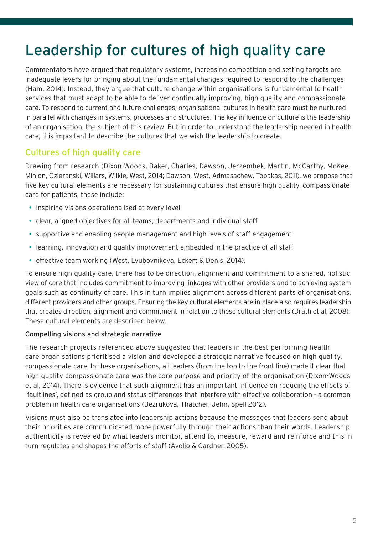# Leadership for cultures of high quality care

Commentators have argued that regulatory systems, increasing competition and setting targets are inadequate levers for bringing about the fundamental changes required to respond to the challenges (Ham, 2014). Instead, they argue that culture change within organisations is fundamental to health services that must adapt to be able to deliver continually improving, high quality and compassionate care. To respond to current and future challenges, organisational cultures in health care must be nurtured in parallel with changes in systems, processes and structures. The key influence on culture is the leadership of an organisation, the subject of this review. But in order to understand the leadership needed in health care, it is important to describe the cultures that we wish the leadership to create.

#### Cultures of high quality care

Drawing from research (Dixon-Woods, Baker, Charles, Dawson, Jerzembek, Martin, McCarthy, McKee, Minion, Ozieranski, Willars, Wilkie, West, 2014; Dawson, West, Admasachew, Topakas, 2011), we propose that five key cultural elements are necessary for sustaining cultures that ensure high quality, compassionate care for patients, these include:

- inspiring visions operationalised at every level
- clear, aligned objectives for all teams, departments and individual staff
- supportive and enabling people management and high levels of staff engagement
- learning, innovation and quality improvement embedded in the practice of all staff
- effective team working (West, Lyubovnikova, Eckert & Denis, 2014).

To ensure high quality care, there has to be direction, alignment and commitment to a shared, holistic view of care that includes commitment to improving linkages with other providers and to achieving system goals such as continuity of care. This in turn implies alignment across different parts of organisations, different providers and other groups. Ensuring the key cultural elements are in place also requires leadership that creates direction, alignment and commitment in relation to these cultural elements (Drath et al, 2008). These cultural elements are described below.

#### Compelling visions and strategic narrative

The research projects referenced above suggested that leaders in the best performing health care organisations prioritised a vision and developed a strategic narrative focused on high quality, compassionate care. In these organisations, all leaders (from the top to the front line) made it clear that high quality compassionate care was the core purpose and priority of the organisation (Dixon-Woods et al, 2014). There is evidence that such alignment has an important influence on reducing the effects of 'faultlines', defined as group and status differences that interfere with effective collaboration - a common problem in health care organisations (Bezrukova, Thatcher, Jehn, Spell 2012).

Visions must also be translated into leadership actions because the messages that leaders send about their priorities are communicated more powerfully through their actions than their words. Leadership authenticity is revealed by what leaders monitor, attend to, measure, reward and reinforce and this in turn regulates and shapes the efforts of staff (Avolio & Gardner, 2005).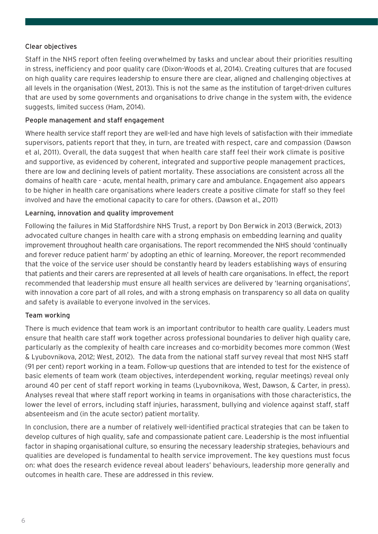#### Clear objectives

Staff in the NHS report often feeling overwhelmed by tasks and unclear about their priorities resulting in stress, inefficiency and poor quality care (Dixon-Woods et al, 2014). Creating cultures that are focused on high quality care requires leadership to ensure there are clear, aligned and challenging objectives at all levels in the organisation (West, 2013). This is not the same as the institution of target-driven cultures that are used by some governments and organisations to drive change in the system with, the evidence suggests, limited success (Ham, 2014).

#### People management and staff engagement

Where health service staff report they are well-led and have high levels of satisfaction with their immediate supervisors, patients report that they, in turn, are treated with respect, care and compassion (Dawson et al, 2011). Overall, the data suggest that when health care staff feel their work climate is positive and supportive, as evidenced by coherent, integrated and supportive people management practices, there are low and declining levels of patient mortality. These associations are consistent across all the domains of health care - acute, mental health, primary care and ambulance. Engagement also appears to be higher in health care organisations where leaders create a positive climate for staff so they feel involved and have the emotional capacity to care for others. (Dawson et al., 2011)

#### Learning, innovation and quality improvement

Following the failures in Mid Staffordshire NHS Trust, a report by Don Berwick in 2013 (Berwick, 2013) advocated culture changes in health care with a strong emphasis on embedding learning and quality improvement throughout health care organisations. The report recommended the NHS should 'continually and forever reduce patient harm' by adopting an ethic of learning. Moreover, the report recommended that the voice of the service user should be constantly heard by leaders establishing ways of ensuring that patients and their carers are represented at all levels of health care organisations. In effect, the report recommended that leadership must ensure all health services are delivered by 'learning organisations', with innovation a core part of all roles, and with a strong emphasis on transparency so all data on quality and safety is available to everyone involved in the services.

#### Team working

There is much evidence that team work is an important contributor to health care quality. Leaders must ensure that health care staff work together across professional boundaries to deliver high quality care, particularly as the complexity of health care increases and co-morbidity becomes more common (West & Lyubovnikova, 2012; West, 2012). The data from the national staff survey reveal that most NHS staff (91 per cent) report working in a team. Follow-up questions that are intended to test for the existence of basic elements of team work (team objectives, interdependent working, regular meetings) reveal only around 40 per cent of staff report working in teams (Lyubovnikova, West, Dawson, & Carter, in press). Analyses reveal that where staff report working in teams in organisations with those characteristics, the lower the level of errors, including staff injuries, harassment, bullying and violence against staff, staff absenteeism and (in the acute sector) patient mortality.

In conclusion, there are a number of relatively well-identified practical strategies that can be taken to develop cultures of high quality, safe and compassionate patient care. Leadership is the most influential factor in shaping organisational culture, so ensuring the necessary leadership strategies, behaviours and qualities are developed is fundamental to health service improvement. The key questions must focus on: what does the research evidence reveal about leaders' behaviours, leadership more generally and outcomes in health care. These are addressed in this review.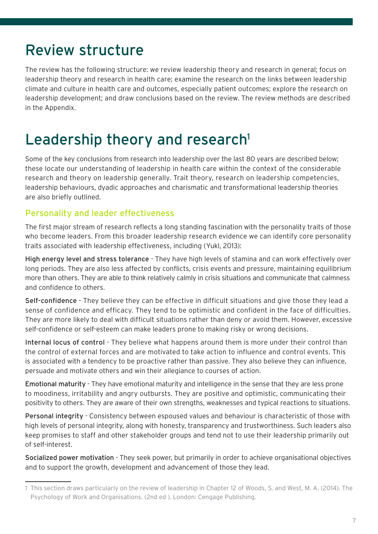## Review structure

The review has the following structure: we review leadership theory and research in general; focus on leadership theory and research in health care; examine the research on the links between leadership climate and culture in health care and outcomes, especially patient outcomes; explore the research on leadership development; and draw conclusions based on the review. The review methods are described in the Appendix.

## Leadership theory and research<sup>1</sup>

Some of the key conclusions from research into leadership over the last 80 years are described below; these locate our understanding of leadership in health care within the context of the considerable research and theory on leadership generally. Trait theory, research on leadership competencies, leadership behaviours, dyadic approaches and charismatic and transformational leadership theories are also briefly outlined.

### Personality and leader effectiveness

The first major stream of research reflects a long standing fascination with the personality traits of those who become leaders. From this broader leadership research evidence we can identify core personality traits associated with leadership effectiveness, including (Yukl, 2013):

High energy level and stress tolerance - They have high levels of stamina and can work effectively over long periods. They are also less affected by conflicts, crisis events and pressure, maintaining equilibrium more than others. They are able to think relatively calmly in crisis situations and communicate that calmness and confidence to others.

Self-confidence - They believe they can be effective in difficult situations and give those they lead a sense of confidence and efficacy. They tend to be optimistic and confident in the face of difficulties. They are more likely to deal with difficult situations rather than deny or avoid them. However, excessive self-confidence or self-esteem can make leaders prone to making risky or wrong decisions.

Internal locus of control - They believe what happens around them is more under their control than the control of external forces and are motivated to take action to influence and control events. This is associated with a tendency to be proactive rather than passive. They also believe they can influence, persuade and motivate others and win their allegiance to courses of action.

Emotional maturity - They have emotional maturity and intelligence in the sense that they are less prone to moodiness, irritability and angry outbursts. They are positive and optimistic, communicating their positivity to others. They are aware of their own strengths, weaknesses and typical reactions to situations.

Personal integrity - Consistency between espoused values and behaviour is characteristic of those with high levels of personal integrity, along with honesty, transparency and trustworthiness. Such leaders also keep promises to staff and other stakeholder groups and tend not to use their leadership primarily out of self-interest.

Socialized power motivation - They seek power, but primarily in order to achieve organisational objectives and to support the growth, development and advancement of those they lead.

<sup>1</sup> This section draws particularly on the review of leadership in Chapter 12 of Woods, S. and West, M. A. (2014). The Psychology of Work and Organisations. (2nd ed ). London: Cengage Publishing.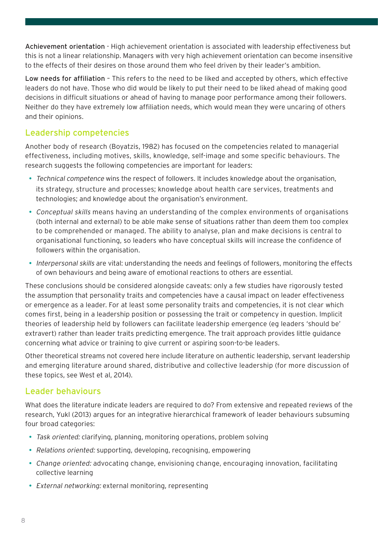Achievement orientation - High achievement orientation is associated with leadership effectiveness but this is not a linear relationship. Managers with very high achievement orientation can become insensitive to the effects of their desires on those around them who feel driven by their leader's ambition.

Low needs for affiliation – This refers to the need to be liked and accepted by others, which effective leaders do not have. Those who did would be likely to put their need to be liked ahead of making good decisions in difficult situations or ahead of having to manage poor performance among their followers. Neither do they have extremely low affiliation needs, which would mean they were uncaring of others and their opinions.

#### Leadership competencies

Another body of research (Boyatzis, 1982) has focused on the competencies related to managerial effectiveness, including motives, skills, knowledge, self-image and some specific behaviours. The research suggests the following competencies are important for leaders:

- Technical competence wins the respect of followers. It includes knowledge about the organisation, its strategy, structure and processes; knowledge about health care services, treatments and technologies; and knowledge about the organisation's environment.
- Conceptual skills means having an understanding of the complex environments of organisations (both internal and external) to be able make sense of situations rather than deem them too complex to be comprehended or managed. The ability to analyse, plan and make decisions is central to organisational functioning, so leaders who have conceptual skills will increase the confidence of followers within the organisation.
- Interpersonal skills are vital: understanding the needs and feelings of followers, monitoring the effects of own behaviours and being aware of emotional reactions to others are essential.

These conclusions should be considered alongside caveats: only a few studies have rigorously tested the assumption that personality traits and competencies have a causal impact on leader effectiveness or emergence as a leader. For at least some personality traits and competencies, it is not clear which comes first, being in a leadership position or possessing the trait or competency in question. Implicit theories of leadership held by followers can facilitate leadership emergence (eg leaders 'should be' extravert) rather than leader traits predicting emergence. The trait approach provides little guidance concerning what advice or training to give current or aspiring soon-to-be leaders.

Other theoretical streams not covered here include literature on authentic leadership, servant leadership and emerging literature around shared, distributive and collective leadership (for more discussion of these topics, see West et al, 2014).

### Leader behaviours

What does the literature indicate leaders are required to do? From extensive and repeated reviews of the research, Yukl (2013) argues for an integrative hierarchical framework of leader behaviours subsuming four broad categories:

- Task oriented: clarifying, planning, monitoring operations, problem solving
- Relations oriented: supporting, developing, recognising, empowering
- Change oriented: advocating change, envisioning change, encouraging innovation, facilitating collective learning
- External networking: external monitoring, representing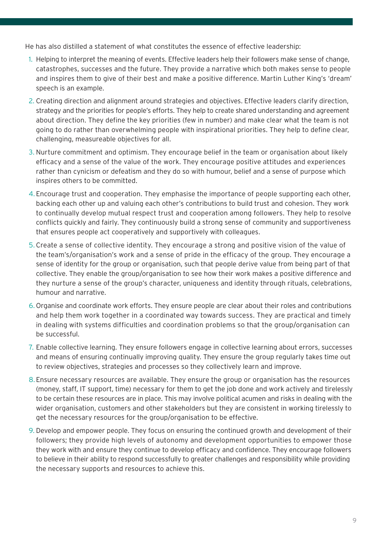He has also distilled a statement of what constitutes the essence of effective leadership:

- 1. Helping to interpret the meaning of events. Effective leaders help their followers make sense of change, catastrophes, successes and the future. They provide a narrative which both makes sense to people and inspires them to give of their best and make a positive difference. Martin Luther King's 'dream' speech is an example.
- 2. Creating direction and alignment around strategies and objectives. Effective leaders clarify direction, strategy and the priorities for people's efforts. They help to create shared understanding and agreement about direction. They define the key priorities (few in number) and make clear what the team is not going to do rather than overwhelming people with inspirational priorities. They help to define clear, challenging, measureable objectives for all.
- 3. Nurture commitment and optimism. They encourage belief in the team or organisation about likely efficacy and a sense of the value of the work. They encourage positive attitudes and experiences rather than cynicism or defeatism and they do so with humour, belief and a sense of purpose which inspires others to be committed.
- 4. Encourage trust and cooperation. They emphasise the importance of people supporting each other, backing each other up and valuing each other's contributions to build trust and cohesion. They work to continually develop mutual respect trust and cooperation among followers. They help to resolve conflicts quickly and fairly. They continuously build a strong sense of community and supportiveness that ensures people act cooperatively and supportively with colleagues.
- 5. Create a sense of collective identity. They encourage a strong and positive vision of the value of the team's/organisation's work and a sense of pride in the efficacy of the group. They encourage a sense of identity for the group or organisation, such that people derive value from being part of that collective. They enable the group/organisation to see how their work makes a positive difference and they nurture a sense of the group's character, uniqueness and identity through rituals, celebrations, humour and narrative.
- 6. Organise and coordinate work efforts. They ensure people are clear about their roles and contributions and help them work together in a coordinated way towards success. They are practical and timely in dealing with systems difficulties and coordination problems so that the group/organisation can be successful.
- 7. Enable collective learning. They ensure followers engage in collective learning about errors, successes and means of ensuring continually improving quality. They ensure the group regularly takes time out to review objectives, strategies and processes so they collectively learn and improve.
- 8.Ensure necessary resources are available. They ensure the group or organisation has the resources (money, staff, IT support, time) necessary for them to get the job done and work actively and tirelessly to be certain these resources are in place. This may involve political acumen and risks in dealing with the wider organisation, customers and other stakeholders but they are consistent in working tirelessly to get the necessary resources for the group/organisation to be effective.
- 9. Develop and empower people. They focus on ensuring the continued growth and development of their followers; they provide high levels of autonomy and development opportunities to empower those they work with and ensure they continue to develop efficacy and confidence. They encourage followers to believe in their ability to respond successfully to greater challenges and responsibility while providing the necessary supports and resources to achieve this.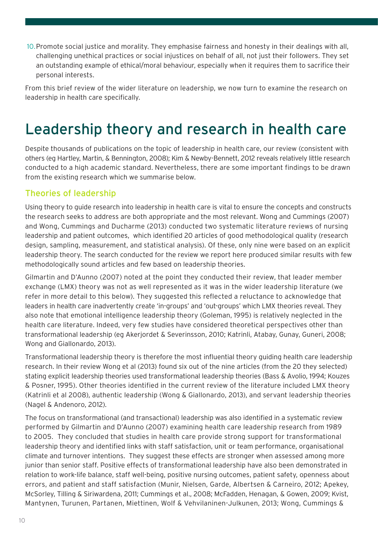10.Promote social justice and morality. They emphasise fairness and honesty in their dealings with all, challenging unethical practices or social injustices on behalf of all, not just their followers. They set an outstanding example of ethical/moral behaviour, especially when it requires them to sacrifice their personal interests.

From this brief review of the wider literature on leadership, we now turn to examine the research on leadership in health care specifically.

### Leadership theory and research in health care

Despite thousands of publications on the topic of leadership in health care, our review (consistent with others (eg Hartley, Martin, & Bennington, 2008); Kim & Newby-Bennett, 2012 reveals relatively little research conducted to a high academic standard. Nevertheless, there are some important findings to be drawn from the existing research which we summarise below.

#### Theories of leadership

Using theory to guide research into leadership in health care is vital to ensure the concepts and constructs the research seeks to address are both appropriate and the most relevant. Wong and Cummings (2007) and Wong, Cummings and Ducharme (2013) conducted two systematic literature reviews of nursing leadership and patient outcomes, which identified 20 articles of good methodological quality (research design, sampling, measurement, and statistical analysis). Of these, only nine were based on an explicit leadership theory. The search conducted for the review we report here produced similar results with few methodologically sound articles and few based on leadership theories.

Gilmartin and D'Aunno (2007) noted at the point they conducted their review, that leader member exchange (LMX) theory was not as well represented as it was in the wider leadership literature (we refer in more detail to this below). They suggested this reflected a reluctance to acknowledge that leaders in health care inadvertently create 'in-groups' and 'out-groups' which LMX theories reveal. They also note that emotional intelligence leadership theory (Goleman, 1995) is relatively neglected in the health care literature. Indeed, very few studies have considered theoretical perspectives other than transformational leadership (eg Akerjordet & Severinsson, 2010; Katrinli, Atabay, Gunay, Guneri, 2008; Wong and Giallonardo, 2013).

Transformational leadership theory is therefore the most influential theory guiding health care leadership research. In their review Wong et al (2013) found six out of the nine articles (from the 20 they selected) stating explicit leadership theories used transformational leadership theories (Bass & Avolio, 1994; Kouzes & Posner, 1995). Other theories identified in the current review of the literature included LMX theory (Katrinli et al 2008), authentic leadership (Wong & Giallonardo, 2013), and servant leadership theories (Nagel & Andenoro, 2012).

The focus on transformational (and transactional) leadership was also identified in a systematic review performed by Gilmartin and D'Aunno (2007) examining health care leadership research from 1989 to 2005. They concluded that studies in health care provide strong support for transformational leadership theory and identified links with staff satisfaction, unit or team performance, organisational climate and turnover intentions. They suggest these effects are stronger when assessed among more junior than senior staff. Positive effects of transformational leadership have also been demonstrated in relation to work-life balance, staff well-being, positive nursing outcomes, patient safety, openness about errors, and patient and staff satisfaction (Munir, Nielsen, Garde, Albertsen & Carneiro, 2012; Apekey, McSorley, Tilling & Siriwardena, 2011; Cummings et al., 2008; McFadden, Henagan, & Gowen, 2009; Kvist, Mantynen, Turunen, Partanen, Miettinen, Wolf & Vehvilaninen-Julkunen, 2013; Wong, Cummings &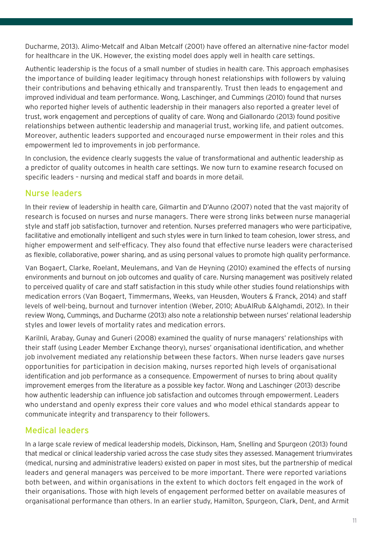Ducharme, 2013). Alimo-Metcalf and Alban Metcalf (2001) have offered an alternative nine-factor model for healthcare in the UK. However, the existing model does apply well in health care settings.

Authentic leadership is the focus of a small number of studies in health care. This approach emphasises the importance of building leader legitimacy through honest relationships with followers by valuing their contributions and behaving ethically and transparently. Trust then leads to engagement and improved individual and team performance. Wong, Laschinger, and Cummings (2010) found that nurses who reported higher levels of authentic leadership in their managers also reported a greater level of trust, work engagement and perceptions of quality of care. Wong and Giallonardo (2013) found positive relationships between authentic leadership and managerial trust, working life, and patient outcomes. Moreover, authentic leaders supported and encouraged nurse empowerment in their roles and this empowerment led to improvements in job performance.

In conclusion, the evidence clearly suggests the value of transformational and authentic leadership as a predictor of quality outcomes in health care settings. We now turn to examine research focused on specific leaders – nursing and medical staff and boards in more detail.

#### Nurse leaders

In their review of leadership in health care, Gilmartin and D'Aunno (2007) noted that the vast majority of research is focused on nurses and nurse managers. There were strong links between nurse managerial style and staff job satisfaction, turnover and retention. Nurses preferred managers who were participative, facilitative and emotionally intelligent and such styles were in turn linked to team cohesion, lower stress, and higher empowerment and self-efficacy. They also found that effective nurse leaders were characterised as flexible, collaborative, power sharing, and as using personal values to promote high quality performance.

Van Bogaert, Clarke, Roelant, Meulemans, and Van de Heyning (2010) examined the effects of nursing environments and burnout on job outcomes and quality of care. Nursing management was positively related to perceived quality of care and staff satisfaction in this study while other studies found relationships with medication errors (Van Bogaert, Timmermans, Weeks, van Heusden, Wouters & Franck, 2014) and staff levels of well-being, burnout and turnover intention (Weber, 2010; AbuAlRub &Alghamdi, 2012). In their review Wong, Cummings, and Ducharme (2013) also note a relationship between nurses' relational leadership styles and lower levels of mortality rates and medication errors.

Karilnli, Arabay, Gunay and Guneri (2008) examined the quality of nurse managers' relationships with their staff (using Leader Member Exchange theory), nurses' organisational identification, and whether job involvement mediated any relationship between these factors. When nurse leaders gave nurses opportunities for participation in decision making, nurses reported high levels of organisational identification and job performance as a consequence. Empowerment of nurses to bring about quality improvement emerges from the literature as a possible key factor. Wong and Laschinger (2013) describe how authentic leadership can influence job satisfaction and outcomes through empowerment. Leaders who understand and openly express their core values and who model ethical standards appear to communicate integrity and transparency to their followers.

#### Medical leaders

In a large scale review of medical leadership models, Dickinson, Ham, Snelling and Spurgeon (2013) found that medical or clinical leadership varied across the case study sites they assessed. Management triumvirates (medical, nursing and administrative leaders) existed on paper in most sites, but the partnership of medical leaders and general managers was perceived to be more important. There were reported variations both between, and within organisations in the extent to which doctors felt engaged in the work of their organisations. Those with high levels of engagement performed better on available measures of organisational performance than others. In an earlier study, Hamilton, Spurgeon, Clark, Dent, and Armit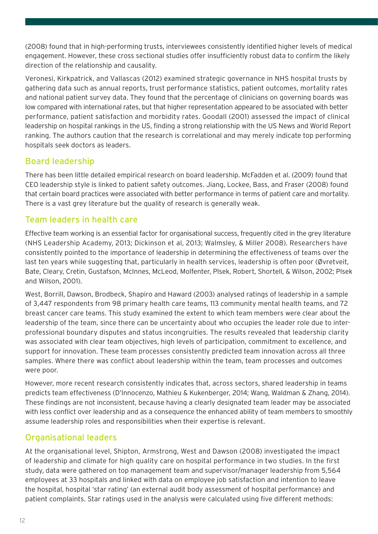(2008) found that in high-performing trusts, interviewees consistently identified higher levels of medical engagement. However, these cross sectional studies offer insufficiently robust data to confirm the likely direction of the relationship and causality.

Veronesi, Kirkpatrick, and Vallascas (2012) examined strategic governance in NHS hospital trusts by gathering data such as annual reports, trust performance statistics, patient outcomes, mortality rates and national patient survey data. They found that the percentage of clinicians on governing boards was low compared with international rates, but that higher representation appeared to be associated with better performance, patient satisfaction and morbidity rates. Goodall (2001) assessed the impact of clinical leadership on hospital rankings in the US, finding a strong relationship with the US News and World Report ranking. The authors caution that the research is correlational and may merely indicate top performing hospitals seek doctors as leaders.

### Board leadership

There has been little detailed empirical research on board leadership. McFadden et al. (2009) found that CEO leadership style is linked to patient safety outcomes. Jiang, Lockee, Bass, and Fraser (2008) found that certain board practices were associated with better performance in terms of patient care and mortality. There is a vast grey literature but the quality of research is generally weak.

### Team leaders in health care

Effective team working is an essential factor for organisational success, frequently cited in the grey literature (NHS Leadership Academy, 2013; Dickinson et al, 2013; Walmsley, & Miller 2008). Researchers have consistently pointed to the importance of leadership in determining the effectiveness of teams over the last ten years while suggesting that, particularly in health services, leadership is often poor (Øvretveit, Bate, Cleary, Cretin, Gustafson, McInnes, McLeod, Molfenter, Plsek, Robert, Shortell, & Wilson, 2002; Plsek and Wilson, 2001).

West, Borrill, Dawson, Brodbeck, Shapiro and Haward (2003) analysed ratings of leadership in a sample of 3,447 respondents from 98 primary health care teams, 113 community mental health teams, and 72 breast cancer care teams. This study examined the extent to which team members were clear about the leadership of the team, since there can be uncertainty about who occupies the leader role due to interprofessional boundary disputes and status incongruities. The results revealed that leadership clarity was associated with clear team objectives, high levels of participation, commitment to excellence, and support for innovation. These team processes consistently predicted team innovation across all three samples. Where there was conflict about leadership within the team, team processes and outcomes were poor.

However, more recent research consistently indicates that, across sectors, shared leadership in teams predicts team effectiveness (D'Innocenzo, Mathieu & Kukenberger, 2014; Wang, Waldman & Zhang, 2014). These findings are not inconsistent, because having a clearly designated team leader may be associated with less conflict over leadership and as a consequence the enhanced ability of team members to smoothly assume leadership roles and responsibilities when their expertise is relevant.

### Organisational leaders

At the organisational level, Shipton, Armstrong, West and Dawson (2008) investigated the impact of leadership and climate for high quality care on hospital performance in two studies. In the first study, data were gathered on top management team and supervisor/manager leadership from 5,564 employees at 33 hospitals and linked with data on employee job satisfaction and intention to leave the hospital, hospital 'star rating' (an external audit body assessment of hospital performance) and patient complaints. Star ratings used in the analysis were calculated using five different methods: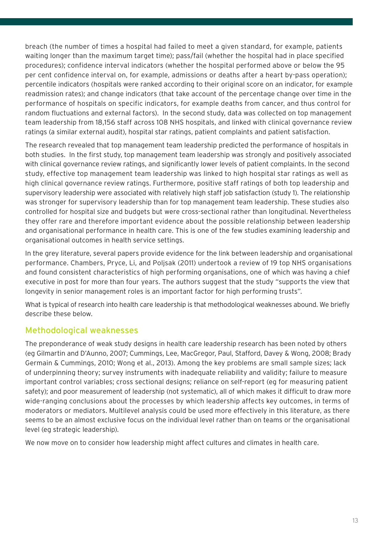breach (the number of times a hospital had failed to meet a given standard, for example, patients waiting longer than the maximum target time); pass/fail (whether the hospital had in place specified procedures); confidence interval indicators (whether the hospital performed above or below the 95 per cent confidence interval on, for example, admissions or deaths after a heart by-pass operation); percentile indicators (hospitals were ranked according to their original score on an indicator, for example readmission rates); and change indicators (that take account of the percentage change over time in the performance of hospitals on specific indicators, for example deaths from cancer, and thus control for random fluctuations and external factors). In the second study, data was collected on top management team leadership from 18,156 staff across 108 NHS hospitals, and linked with clinical governance review ratings (a similar external audit), hospital star ratings, patient complaints and patient satisfaction.

The research revealed that top management team leadership predicted the performance of hospitals in both studies. In the first study, top management team leadership was strongly and positively associated with clinical governance review ratings, and significantly lower levels of patient complaints. In the second study, effective top management team leadership was linked to high hospital star ratings as well as high clinical governance review ratings. Furthermore, positive staff ratings of both top leadership and supervisory leadership were associated with relatively high staff job satisfaction (study 1). The relationship was stronger for supervisory leadership than for top management team leadership. These studies also controlled for hospital size and budgets but were cross-sectional rather than longitudinal. Nevertheless they offer rare and therefore important evidence about the possible relationship between leadership and organisational performance in health care. This is one of the few studies examining leadership and organisational outcomes in health service settings.

In the grey literature, several papers provide evidence for the link between leadership and organisational performance. Chambers, Pryce, Li, and Poljsak (2011) undertook a review of 19 top NHS organisations and found consistent characteristics of high performing organisations, one of which was having a chief executive in post for more than four years. The authors suggest that the study "supports the view that longevity in senior management roles is an important factor for high performing trusts".

What is typical of research into health care leadership is that methodological weaknesses abound. We briefly describe these below.

#### Methodological weaknesses

The preponderance of weak study designs in health care leadership research has been noted by others (eg Gilmartin and D'Aunno, 2007; Cummings, Lee, MacGregor, Paul, Stafford, Davey & Wong, 2008; Brady Germain & Cummings, 2010; Wong et al., 2013). Among the key problems are small sample sizes; lack of underpinning theory; survey instruments with inadequate reliability and validity; failure to measure important control variables; cross sectional designs; reliance on self-report (eg for measuring patient safety); and poor measurement of leadership (not systematic), all of which makes it difficult to draw more wide-ranging conclusions about the processes by which leadership affects key outcomes, in terms of moderators or mediators. Multilevel analysis could be used more effectively in this literature, as there seems to be an almost exclusive focus on the individual level rather than on teams or the organisational level (eg strategic leadership).

We now move on to consider how leadership might affect cultures and climates in health care.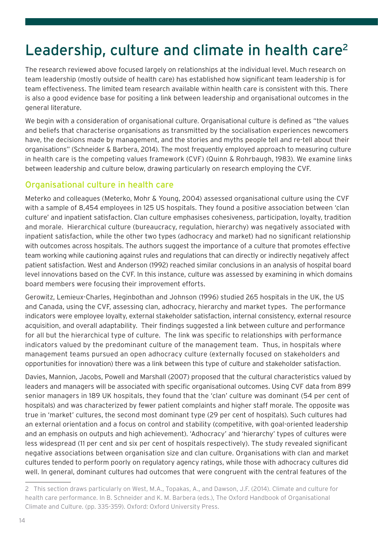# Leadership, culture and climate in health care<sup>2</sup>

The research reviewed above focused largely on relationships at the individual level. Much research on team leadership (mostly outside of health care) has established how significant team leadership is for team effectiveness. The limited team research available within health care is consistent with this. There is also a good evidence base for positing a link between leadership and organisational outcomes in the general literature.

We begin with a consideration of organisational culture. Organisational culture is defined as "the values and beliefs that characterise organisations as transmitted by the socialisation experiences newcomers have, the decisions made by management, and the stories and myths people tell and re-tell about their organisations" (Schneider & Barbera, 2014). The most frequently employed approach to measuring culture in health care is the competing values framework (CVF) (Quinn & Rohrbaugh, 1983). We examine links between leadership and culture below, drawing particularly on research employing the CVF.

#### Organisational culture in health care

Meterko and colleagues (Meterko, Mohr & Young, 2004) assessed organisational culture using the CVF with a sample of 8,454 employees in 125 US hospitals. They found a positive association between 'clan culture' and inpatient satisfaction. Clan culture emphasises cohesiveness, participation, loyalty, tradition and morale. Hierarchical culture (bureaucracy, regulation, hierarchy) was negatively associated with inpatient satisfaction, while the other two types (adhocracy and market) had no significant relationship with outcomes across hospitals. The authors suggest the importance of a culture that promotes effective team working while cautioning against rules and regulations that can directly or indirectly negatively affect patient satisfaction. West and Anderson (1992) reached similar conclusions in an analysis of hospital board level innovations based on the CVF. In this instance, culture was assessed by examining in which domains board members were focusing their improvement efforts.

Gerowitz, Lemieux-Charles, Heginbothan and Johnson (1996) studied 265 hospitals in the UK, the US and Canada, using the CVF, assessing clan, adhocracy, hierarchy and market types. The performance indicators were employee loyalty, external stakeholder satisfaction, internal consistency, external resource acquisition, and overall adaptability. Their findings suggested a link between culture and performance for all but the hierarchical type of culture. The link was specific to relationships with performance indicators valued by the predominant culture of the management team. Thus, in hospitals where management teams pursued an open adhocracy culture (externally focused on stakeholders and opportunities for innovation) there was a link between this type of culture and stakeholder satisfaction.

Davies, Mannion, Jacobs, Powell and Marshall (2007) proposed that the cultural characteristics valued by leaders and managers will be associated with specific organisational outcomes. Using CVF data from 899 senior managers in 189 UK hospitals, they found that the 'clan' culture was dominant (54 per cent of hospitals) and was characterized by fewer patient complaints and higher staff morale. The opposite was true in 'market' cultures, the second most dominant type (29 per cent of hospitals). Such cultures had an external orientation and a focus on control and stability (competitive, with goal-oriented leadership and an emphasis on outputs and high achievement). 'Adhocracy' and 'hierarchy' types of cultures were less widespread (11 per cent and six per cent of hospitals respectively). The study revealed significant negative associations between organisation size and clan culture. Organisations with clan and market cultures tended to perform poorly on regulatory agency ratings, while those with adhocracy cultures did well. In general, dominant cultures had outcomes that were congruent with the central features of the

<sup>2</sup> This section draws particularly on West, M.A., Topakas, A., and Dawson, J.F. (2014). Climate and culture for health care performance. In B. Schneider and K. M. Barbera (eds.), The Oxford Handbook of Organisational Climate and Culture. (pp. 335-359). Oxford: Oxford University Press.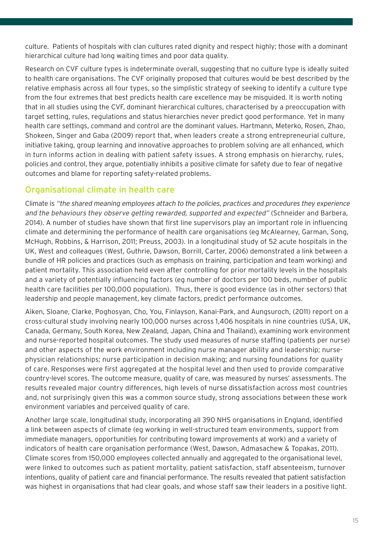culture. Patients of hospitals with clan cultures rated dignity and respect highly; those with a dominant hierarchical culture had long waiting times and poor data quality.

Research on CVF culture types is indeterminate overall, suggesting that no culture type is ideally suited to health care organisations. The CVF originally proposed that cultures would be best described by the relative emphasis across all four types, so the simplistic strategy of seeking to identify a culture type from the four extremes that best predicts health care excellence may be misguided. It is worth noting that in all studies using the CVF, dominant hierarchical cultures, characterised by a preoccupation with target setting, rules, regulations and status hierarchies never predict good performance. Yet in many health care settings, command and control are the dominant values. Hartmann, Meterko, Rosen, Zhao, Shokeen, Singer and Gaba (2009) report that, when leaders create a strong entrepreneurial culture, initiative taking, group learning and innovative approaches to problem solving are all enhanced, which in turn informs action in dealing with patient safety issues. A strong emphasis on hierarchy, rules, policies and control, they argue, potentially inhibits a positive climate for safety due to fear of negative outcomes and blame for reporting safety-related problems.

### Organisational climate in health care

Climate is "the shared meaning employees attach to the policies, practices and procedures they experience and the behaviours they observe getting rewarded, supported and expected" (Schneider and Barbera, 2014). A number of studies have shown that first line supervisors play an important role in influencing climate and determining the performance of health care organisations (eg McAlearney, Garman, Song, McHugh, Robbins, & Harrison, 2011; Preuss, 2003). In a longitudinal study of 52 acute hospitals in the UK, West and colleagues (West, Guthrie, Dawson, Borrill, Carter, 2006) demonstrated a link between a bundle of HR policies and practices (such as emphasis on training, participation and team working) and patient mortality. This association held even after controlling for prior mortality levels in the hospitals and a variety of potentially influencing factors (eg number of doctors per 100 beds, number of public health care facilities per 100,000 population). Thus, there is good evidence (as in other sectors) that leadership and people management, key climate factors, predict performance outcomes.

Aiken, Sloane, Clarke, Poghosyan, Cho, You, Finlayson, Kanai-Park, and Aungsuroch, (2011) report on a cross-cultural study involving nearly 100,000 nurses across 1,406 hospitals in nine countries (USA, UK, Canada, Germany, South Korea, New Zealand, Japan, China and Thailand), examining work environment and nurse-reported hospital outcomes. The study used measures of nurse staffing (patients per nurse) and other aspects of the work environment including nurse manager ability and leadership; nursephysician relationships; nurse participation in decision making; and nursing foundations for quality of care. Responses were first aggregated at the hospital level and then used to provide comparative country-level scores. The outcome measure, quality of care, was measured by nurses' assessments. The results revealed major country differences, high levels of nurse dissatisfaction across most countries and, not surprisingly given this was a common source study, strong associations between these work environment variables and perceived quality of care.

Another large scale, longitudinal study, incorporating all 390 NHS organisations in England, identified a link between aspects of climate (eg working in well-structured team environments, support from immediate managers, opportunities for contributing toward improvements at work) and a variety of indicators of health care organisation performance (West, Dawson, Admasachew & Topakas, 2011). Climate scores from 150,000 employees collected annually and aggregated to the organisational level, were linked to outcomes such as patient mortality, patient satisfaction, staff absenteeism, turnover intentions, quality of patient care and financial performance. The results revealed that patient satisfaction was highest in organisations that had clear goals, and whose staff saw their leaders in a positive light.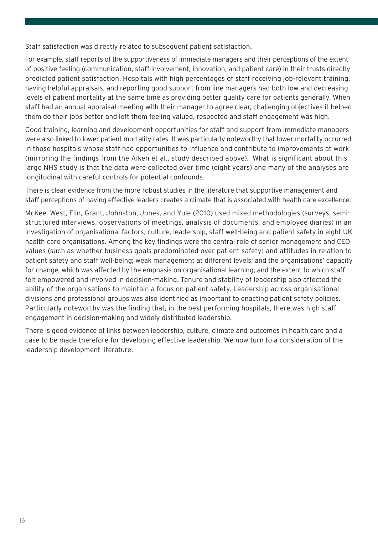Staff satisfaction was directly related to subsequent patient satisfaction.

For example, staff reports of the supportiveness of immediate managers and their perceptions of the extent of positive feeling (communication, staff involvement, innovation, and patient care) in their trusts directly predicted patient satisfaction. Hospitals with high percentages of staff receiving job-relevant training, having helpful appraisals, and reporting good support from line managers had both low and decreasing levels of patient mortality at the same time as providing better quality care for patients generally. When staff had an annual appraisal meeting with their manager to agree clear, challenging objectives it helped them do their jobs better and left them feeling valued, respected and staff engagement was high.

Good training, learning and development opportunities for staff and support from immediate managers were also linked to lower patient mortality rates. It was particularly noteworthy that lower mortality occurred in those hospitals whose staff had opportunities to influence and contribute to improvements at work (mirroring the findings from the Aiken et al., study described above). What is significant about this large NHS study is that the data were collected over time (eight years) and many of the analyses are longitudinal with careful controls for potential confounds.

There is clear evidence from the more robust studies in the literature that supportive management and staff perceptions of having effective leaders creates a climate that is associated with health care excellence.

McKee, West, Flin, Grant, Johnston, Jones, and Yule (2010) used mixed methodologies (surveys, semistructured interviews, observations of meetings, analysis of documents, and employee diaries) in an investigation of organisational factors, culture, leadership, staff well-being and patient safety in eight UK health care organisations. Among the key findings were the central role of senior management and CEO values (such as whether business goals predominated over patient safety) and attitudes in relation to patient safety and staff well-being; weak management at different levels; and the organisations' capacity for change, which was affected by the emphasis on organisational learning, and the extent to which staff felt empowered and involved in decision-making. Tenure and stability of leadership also affected the ability of the organisations to maintain a focus on patient safety. Leadership across organisational divisions and professional groups was also identified as important to enacting patient safety policies. Particularly noteworthy was the finding that, in the best performing hospitals, there was high staff engagement in decision-making and widely distributed leadership.

There is good evidence of links between leadership, culture, climate and outcomes in health care and a case to be made therefore for developing effective leadership. We now turn to a consideration of the leadership development literature.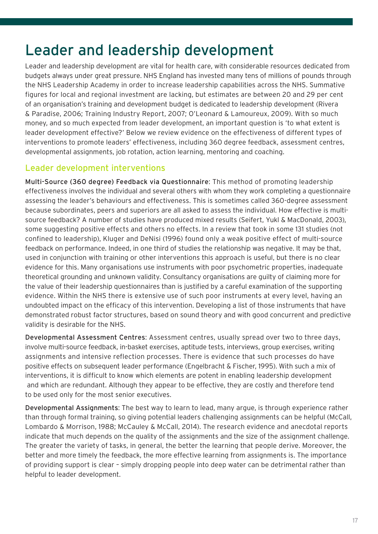### Leader and leadership development

Leader and leadership development are vital for health care, with considerable resources dedicated from budgets always under great pressure. NHS England has invested many tens of millions of pounds through the NHS Leadership Academy in order to increase leadership capabilities across the NHS. Summative figures for local and regional investment are lacking, but estimates are between 20 and 29 per cent of an organisation's training and development budget is dedicated to leadership development (Rivera & Paradise, 2006; Training Industry Report, 2007; O'Leonard & Lamoureux, 2009). With so much money, and so much expected from leader development, an important question is 'to what extent is leader development effective?' Below we review evidence on the effectiveness of different types of interventions to promote leaders' effectiveness, including 360 degree feedback, assessment centres, developmental assignments, job rotation, action learning, mentoring and coaching.

#### Leader development interventions

Multi-Source (360 degree) Feedback via Questionnaire: This method of promoting leadership effectiveness involves the individual and several others with whom they work completing a questionnaire assessing the leader's behaviours and effectiveness. This is sometimes called 360-degree assessment because subordinates, peers and superiors are all asked to assess the individual. How effective is multisource feedback? A number of studies have produced mixed results (Seifert, Yukl & MacDonald, 2003), some suggesting positive effects and others no effects. In a review that took in some 131 studies (not confined to leadership), Kluger and DeNisi (1996) found only a weak positive effect of multi-source feedback on performance. Indeed, in one third of studies the relationship was negative. It may be that, used in conjunction with training or other interventions this approach is useful, but there is no clear evidence for this. Many organisations use instruments with poor psychometric properties, inadequate theoretical grounding and unknown validity. Consultancy organisations are guilty of claiming more for the value of their leadership questionnaires than is justified by a careful examination of the supporting evidence. Within the NHS there is extensive use of such poor instruments at every level, having an undoubted impact on the efficacy of this intervention. Developing a list of those instruments that have demonstrated robust factor structures, based on sound theory and with good concurrent and predictive validity is desirable for the NHS.

Developmental Assessment Centres: Assessment centres, usually spread over two to three days, involve multi-source feedback, in-basket exercises, aptitude tests, interviews, group exercises, writing assignments and intensive reflection processes. There is evidence that such processes do have positive effects on subsequent leader performance (Engelbracht & Fischer, 1995). With such a mix of interventions, it is difficult to know which elements are potent in enabling leadership development and which are redundant. Although they appear to be effective, they are costly and therefore tend to be used only for the most senior executives.

Developmental Assignments: The best way to learn to lead, many argue, is through experience rather than through formal training, so giving potential leaders challenging assignments can be helpful (McCall, Lombardo & Morrison, 1988; McCauley & McCall, 2014). The research evidence and anecdotal reports indicate that much depends on the quality of the assignments and the size of the assignment challenge. The greater the variety of tasks, in general, the better the learning that people derive. Moreover, the better and more timely the feedback, the more effective learning from assignments is. The importance of providing support is clear – simply dropping people into deep water can be detrimental rather than helpful to leader development.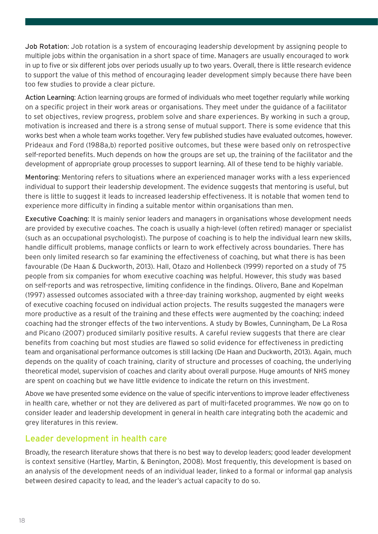Job Rotation: Job rotation is a system of encouraging leadership development by assigning people to multiple jobs within the organisation in a short space of time. Managers are usually encouraged to work in up to five or six different jobs over periods usually up to two years. Overall, there is little research evidence to support the value of this method of encouraging leader development simply because there have been too few studies to provide a clear picture.

Action Learning: Action learning groups are formed of individuals who meet together regularly while working on a specific project in their work areas or organisations. They meet under the guidance of a facilitator to set objectives, review progress, problem solve and share experiences. By working in such a group, motivation is increased and there is a strong sense of mutual support. There is some evidence that this works best when a whole team works together. Very few published studies have evaluated outcomes, however. Prideaux and Ford (1988a,b) reported positive outcomes, but these were based only on retrospective self-reported benefits. Much depends on how the groups are set up, the training of the facilitator and the development of appropriate group processes to support learning. All of these tend to be highly variable.

Mentoring: Mentoring refers to situations where an experienced manager works with a less experienced individual to support their leadership development. The evidence suggests that mentoring is useful, but there is little to suggest it leads to increased leadership effectiveness. It is notable that women tend to experience more difficulty in finding a suitable mentor within organisations than men.

Executive Coaching: It is mainly senior leaders and managers in organisations whose development needs are provided by executive coaches. The coach is usually a high-level (often retired) manager or specialist (such as an occupational psychologist). The purpose of coaching is to help the individual learn new skills, handle difficult problems, manage conflicts or learn to work effectively across boundaries. There has been only limited research so far examining the effectiveness of coaching, but what there is has been favourable (De Haan & Duckworth, 2013). Hall, Otazo and Hollenbeck (1999) reported on a study of 75 people from six companies for whom executive coaching was helpful. However, this study was based on self-reports and was retrospective, limiting confidence in the findings. Olivero, Bane and Kopelman (1997) assessed outcomes associated with a three-day training workshop, augmented by eight weeks of executive coaching focused on individual action projects. The results suggested the managers were more productive as a result of the training and these effects were augmented by the coaching; indeed coaching had the stronger effects of the two interventions. A study by Bowles, Cunningham, De La Rosa and Picano (2007) produced similarly positive results. A careful review suggests that there are clear benefits from coaching but most studies are flawed so solid evidence for effectiveness in predicting team and organisational performance outcomes is still lacking (De Haan and Duckworth, 2013). Again, much depends on the quality of coach training, clarity of structure and processes of coaching, the underlying theoretical model, supervision of coaches and clarity about overall purpose. Huge amounts of NHS money are spent on coaching but we have little evidence to indicate the return on this investment.

Above we have presented some evidence on the value of specific interventions to improve leader effectiveness in health care, whether or not they are delivered as part of multi-faceted programmes. We now go on to consider leader and leadership development in general in health care integrating both the academic and grey literatures in this review.

#### Leader development in health care

Broadly, the research literature shows that there is no best way to develop leaders; good leader development is context sensitive (Hartley, Martin, & Benington, 2008). Most frequently, this development is based on an analysis of the development needs of an individual leader, linked to a formal or informal gap analysis between desired capacity to lead, and the leader's actual capacity to do so.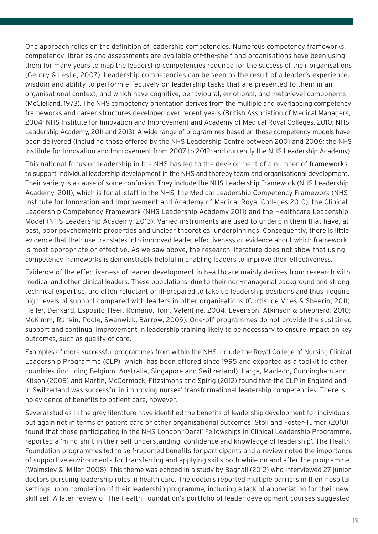One approach relies on the definition of leadership competencies. Numerous competency frameworks, competency libraries and assessments are available off-the-shelf and organisations have been using them for many years to map the leadership competencies required for the success of their organisations (Gentry & Leslie, 2007). Leadership competencies can be seen as the result of a leader's experience, wisdom and ability to perform effectively on leadership tasks that are presented to them in an organisational context, and which have cognitive, behavioural, emotional, and meta-level components (McClelland, 1973). The NHS competency orientation derives from the multiple and overlapping competency frameworks and career structures developed over recent years (British Association of Medical Managers, 2004; NHS Institute for Innovation and Improvement and Academy of Medical Royal Colleges, 2010; NHS Leadership Academy, 2011 and 2013). A wide range of programmes based on these competency models have been delivered (including those offered by the NHS Leadership Centre between 2001 and 2006; the NHS Institute for Innovation and Improvement from 2007 to 2012; and currently the NHS Leadership Academy).

This national focus on leadership in the NHS has led to the development of a number of frameworks to support individual leadership development in the NHS and thereby team and organisational development. Their variety is a cause of some confusion. They include the NHS Leadership Framework (NHS Leadership Academy, 2011), which is for all staff in the NHS; the Medical Leadership Competency Framework (NHS Institute for Innovation and Improvement and Academy of Medical Royal Colleges 2010), the Clinical Leadership Competency Framework (NHS Leadership Academy 2011) and the Healthcare Leadership Model (NHS Leadership Academy, 2013). Varied instruments are used to underpin them that have, at best, poor psychometric properties and unclear theoretical underpinnings. Consequently, there is little evidence that their use translates into improved leader effectiveness or evidence about which framework is most appropriate or effective. As we saw above, the research literature does not show that using competency frameworks is demonstrably helpful in enabling leaders to improve their effectiveness.

Evidence of the effectiveness of leader development in healthcare mainly derives from research with medical and other clinical leaders. These populations, due to their non-managerial background and strong technical expertise, are often reluctant or ill-prepared to take up leadership positions and thus require high levels of support compared with leaders in other organisations (Curtis, de Vries & Sheerin, 2011; Heller, Denkard, Esposito-Heer, Romano, Tom, Valentine, 2004; Levenson, Atkinson & Shepherd, 2010; McKimm, Rankin, Poole, Swanwick, Barrow, 2009). One-off programmes do not provide the sustained support and continual improvement in leadership training likely to be necessary to ensure impact on key outcomes, such as quality of care.

Examples of more successful programmes from within the NHS include the Royal College of Nursing Clinical Leadership Programme (CLP), which has been offered since 1995 and exported as a toolkit to other countries (including Belgium, Australia, Singapore and Switzerland). Large, Macleod, Cunningham and Kitson (2005) and Martin, McCormack, Fitzsimons and Spirig (2012) found that the CLP in England and in Switzerland was successful in improving nurses' transformational leadership competencies. There is no evidence of benefits to patient care, however.

Several studies in the grey literature have identified the benefits of leadership development for individuals but again not in terms of patient care or other organisational outcomes. Stoll and Foster-Turner (2010) found that those participating in the NHS London 'Darzi' Fellowships in Clinical Leadership Programme, reported a 'mind-shift in their self-understanding, confidence and knowledge of leadership'. The Health Foundation programmes led to self-reported benefits for participants and a review noted the importance of supportive environments for transferring and applying skills both while on and after the programme (Walmsley & Miller, 2008). This theme was echoed in a study by Bagnall (2012) who interviewed 27 junior doctors pursuing leadership roles in health care. The doctors reported multiple barriers in their hospital settings upon completion of their leadership programme, including a lack of appreciation for their new skill set. A later review of The Health Foundation's portfolio of leader development courses suggested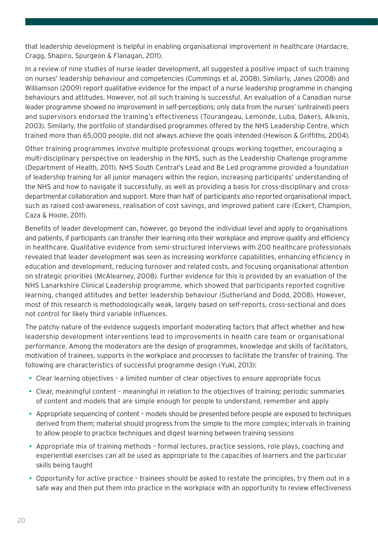that leadership development is helpful in enabling organisational improvement in healthcare (Hardacre, Cragg, Shapiro, Spurgeon & Flanagan, 2011).

In a review of nine studies of nurse leader development, all suggested a positive impact of such training on nurses' leadership behaviour and competencies (Cummings et al, 2008). Similarly, Janes (2008) and Williamson (2009) report qualitative evidence for the impact of a nurse leadership programme in changing behaviours and attitudes. However, not all such training is successful. An evaluation of a Canadian nurse leader programme showed no improvement in self-perceptions; only data from the nurses' (untrained) peers and supervisors endorsed the training's effectiveness (Tourangeau, Lemonde, Luba, Dakers, Alksnis, 2003). Similarly, the portfolio of standardised programmes offered by the NHS Leadership Centre, which trained more than 65,000 people, did not always achieve the goals intended (Hewison & Griffiths, 2004).

Other training programmes involve multiple professional groups working together, encouraging a multi-disciplinary perspective on leadership in the NHS, such as the Leadership Challenge programme (Department of Health, 2011). NHS South Central's Lead and Be Led programme provided a foundation of leadership training for all junior managers within the region, increasing participants' understanding of the NHS and how to navigate it successfully, as well as providing a basis for cross-disciplinary and crossdepartmental collaboration and support. More than half of participants also reported organisational impact, such as raised cost-awareness, realisation of cost savings, and improved patient care (Eckert, Champion, Caza & Hoole, 2011).

Benefits of leader development can, however, go beyond the individual level and apply to organisations and patients, if participants can transfer their learning into their workplace and improve quality and efficiency in healthcare. Qualitative evidence from semi-structured interviews with 200 healthcare professionals revealed that leader development was seen as increasing workforce capabilities, enhancing efficiency in education and development, reducing turnover and related costs, and focusing organisational attention on strategic priorities (McAlearney, 2008). Further evidence for this is provided by an evaluation of the NHS Lanarkshire Clinical Leadership programme, which showed that participants reported cognitive learning, changed attitudes and better leadership behaviour (Sutherland and Dodd, 2008). However, most of this research is methodologically weak, largely based on self-reports, cross-sectional and does not control for likely third variable influences.

The patchy nature of the evidence suggests important moderating factors that affect whether and how leadership development interventions lead to improvements in health care team or organisational performance. Among the moderators are the design of programmes, knowledge and skills of facilitators, motivation of trainees, supports in the workplace and processes to facilitate the transfer of training. The following are characteristics of successful programme design (Yukl, 2013):

- Clear learning objectives a limited number of clear objectives to ensure appropriate focus
- Clear, meaningful content meaningful in relation to the objectives of training; periodic summaries of content and models that are simple enough for people to understand, remember and apply
- Appropriate sequencing of content models should be presented before people are exposed to techniques derived from them; material should progress from the simple to the more complex; intervals in training to allow people to practice techniques and digest learning between training sessions
- Appropriate mix of training methods formal lectures, practice sessions, role plays, coaching and experiential exercises can all be used as appropriate to the capacities of learners and the particular skills being taught
- Opportunity for active practice trainees should be asked to restate the principles, try them out in a safe way and then put them into practice in the workplace with an opportunity to review effectiveness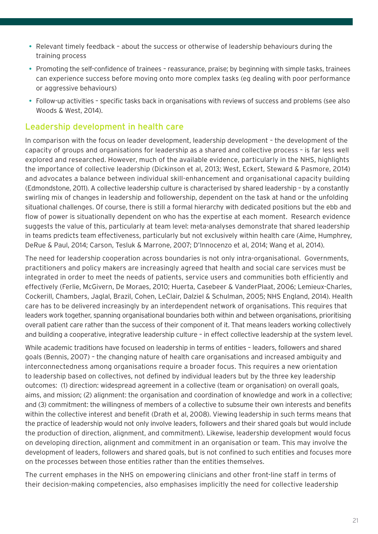- Relevant timely feedback about the success or otherwise of leadership behaviours during the training process
- Promoting the self-confidence of trainees reassurance, praise; by beginning with simple tasks, trainees can experience success before moving onto more complex tasks (eg dealing with poor performance or aggressive behaviours)
- Follow-up activities specific tasks back in organisations with reviews of success and problems (see also Woods & West, 2014).

#### Leadership development in health care

In comparison with the focus on leader development, leadership development – the development of the capacity of groups and organisations for leadership as a shared and collective process – is far less well explored and researched. However, much of the available evidence, particularly in the NHS, highlights the importance of collective leadership (Dickinson et al, 2013; West, Eckert, Steward & Pasmore, 2014) and advocates a balance between individual skill-enhancement and organisational capacity building (Edmondstone, 2011). A collective leadership culture is characterised by shared leadership – by a constantly swirling mix of changes in leadership and followership, dependent on the task at hand or the unfolding situational challenges. Of course, there is still a formal hierarchy with dedicated positions but the ebb and flow of power is situationally dependent on who has the expertise at each moment. Research evidence suggests the value of this, particularly at team level: meta-analyses demonstrate that shared leadership in teams predicts team effectiveness, particularly but not exclusively within health care (Aime, Humphrey, DeRue & Paul, 2014; Carson, Tesluk & Marrone, 2007; D'Innocenzo et al, 2014; Wang et al, 2014).

The need for leadership cooperation across boundaries is not only intra-organisational. Governments, practitioners and policy makers are increasingly agreed that health and social care services must be integrated in order to meet the needs of patients, service users and communities both efficiently and effectively (Ferlie, McGivern, De Moraes, 2010; Huerta, Casebeer & VanderPlaat, 2006; Lemieux-Charles, Cockerill, Chambers, Jaglal, Brazil, Cohen, LeClair, Dalziel & Schulman, 2005; NHS England, 2014). Health care has to be delivered increasingly by an interdependent network of organisations. This requires that leaders work together, spanning organisational boundaries both within and between organisations, prioritising overall patient care rather than the success of their component of it. That means leaders working collectively and building a cooperative, integrative leadership culture – in effect collective leadership at the system level.

While academic traditions have focused on leadership in terms of entities – leaders, followers and shared goals (Bennis, 2007) – the changing nature of health care organisations and increased ambiguity and interconnectedness among organisations require a broader focus. This requires a new orientation to leadership based on collectives, not defined by individual leaders but by the three key leadership outcomes: (1) direction: widespread agreement in a collective (team or organisation) on overall goals, aims, and mission; (2) alignment: the organisation and coordination of knowledge and work in a collective; and (3) commitment: the willingness of members of a collective to subsume their own interests and benefits within the collective interest and benefit (Drath et al, 2008). Viewing leadership in such terms means that the practice of leadership would not only involve leaders, followers and their shared goals but would include the production of direction, alignment, and commitment). Likewise, leadership development would focus on developing direction, alignment and commitment in an organisation or team. This may involve the development of leaders, followers and shared goals, but is not confined to such entities and focuses more on the processes between those entities rather than the entities themselves.

The current emphases in the NHS on empowering clinicians and other front-line staff in terms of their decision-making competencies, also emphasises implicitly the need for collective leadership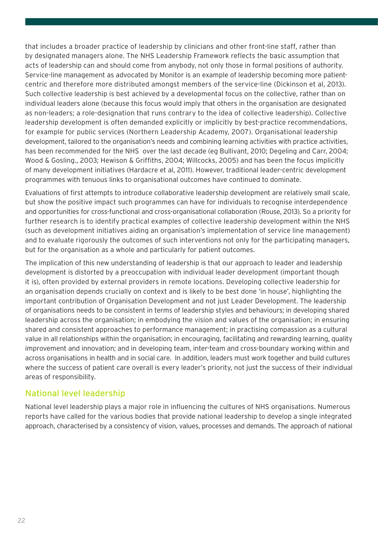that includes a broader practice of leadership by clinicians and other front-line staff, rather than by designated managers alone. The NHS Leadership Framework reflects the basic assumption that acts of leadership can and should come from anybody, not only those in formal positions of authority. Service-line management as advocated by Monitor is an example of leadership becoming more patientcentric and therefore more distributed amongst members of the service-line (Dickinson et al, 2013). Such collective leadership is best achieved by a developmental focus on the collective, rather than on individual leaders alone (because this focus would imply that others in the organisation are designated as non-leaders; a role-designation that runs contrary to the idea of collective leadership). Collective leadership development is often demanded explicitly or implicitly by best-practice recommendations, for example for public services (Northern Leadership Academy, 2007). Organisational leadership development, tailored to the organisation's needs and combining learning activities with practice activities, has been recommended for the NHS over the last decade (eg Bullivant, 2010; Degeling and Carr, 2004; Wood & Gosling., 2003; Hewison & Griffiths, 2004; Willcocks, 2005) and has been the focus implicitly of many development initiatives (Hardacre et al, 2011). However, traditional leader-centric development programmes with tenuous links to organisational outcomes have continued to dominate.

Evaluations of first attempts to introduce collaborative leadership development are relatively small scale, but show the positive impact such programmes can have for individuals to recognise interdependence and opportunities for cross-functional and cross-organisational collaboration (Rouse, 2013). So a priority for further research is to identify practical examples of collective leadership development within the NHS (such as development initiatives aiding an organisation's implementation of service line management) and to evaluate rigorously the outcomes of such interventions not only for the participating managers, but for the organisation as a whole and particularly for patient outcomes.

The implication of this new understanding of leadership is that our approach to leader and leadership development is distorted by a preoccupation with individual leader development (important though it is), often provided by external providers in remote locations. Developing collective leadership for an organisation depends crucially on context and is likely to be best done 'in house', highlighting the important contribution of Organisation Development and not just Leader Development. The leadership of organisations needs to be consistent in terms of leadership styles and behaviours; in developing shared leadership across the organisation; in embodying the vision and values of the organisation; in ensuring shared and consistent approaches to performance management; in practising compassion as a cultural value in all relationships within the organisation; in encouraging, facilitating and rewarding learning, quality improvement and innovation; and in developing team, inter-team and cross-boundary working within and across organisations in health and in social care. In addition, leaders must work together and build cultures where the success of patient care overall is every leader's priority, not just the success of their individual areas of responsibility.

#### National level leadership

National level leadership plays a major role in influencing the cultures of NHS organisations. Numerous reports have called for the various bodies that provide national leadership to develop a single integrated approach, characterised by a consistency of vision, values, processes and demands. The approach of national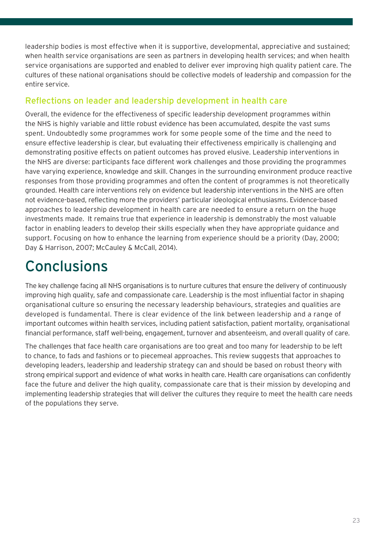leadership bodies is most effective when it is supportive, developmental, appreciative and sustained; when health service organisations are seen as partners in developing health services; and when health service organisations are supported and enabled to deliver ever improving high quality patient care. The cultures of these national organisations should be collective models of leadership and compassion for the entire service.

### Reflections on leader and leadership development in health care

Overall, the evidence for the effectiveness of specific leadership development programmes within the NHS is highly variable and little robust evidence has been accumulated, despite the vast sums spent. Undoubtedly some programmes work for some people some of the time and the need to ensure effective leadership is clear, but evaluating their effectiveness empirically is challenging and demonstrating positive effects on patient outcomes has proved elusive. Leadership interventions in the NHS are diverse: participants face different work challenges and those providing the programmes have varying experience, knowledge and skill. Changes in the surrounding environment produce reactive responses from those providing programmes and often the content of programmes is not theoretically grounded. Health care interventions rely on evidence but leadership interventions in the NHS are often not evidence-based, reflecting more the providers' particular ideological enthusiasms. Evidence-based approaches to leadership development in health care are needed to ensure a return on the huge investments made. It remains true that experience in leadership is demonstrably the most valuable factor in enabling leaders to develop their skills especially when they have appropriate guidance and support. Focusing on how to enhance the learning from experience should be a priority (Day, 2000; Day & Harrison, 2007; McCauley & McCall, 2014).

# **Conclusions**

The key challenge facing all NHS organisations is to nurture cultures that ensure the delivery of continuously improving high quality, safe and compassionate care. Leadership is the most influential factor in shaping organisational culture so ensuring the necessary leadership behaviours, strategies and qualities are developed is fundamental. There is clear evidence of the link between leadership and a range of important outcomes within health services, including patient satisfaction, patient mortality, organisational financial performance, staff well-being, engagement, turnover and absenteeism, and overall quality of care.

The challenges that face health care organisations are too great and too many for leadership to be left to chance, to fads and fashions or to piecemeal approaches. This review suggests that approaches to developing leaders, leadership and leadership strategy can and should be based on robust theory with strong empirical support and evidence of what works in health care. Health care organisations can confidently face the future and deliver the high quality, compassionate care that is their mission by developing and implementing leadership strategies that will deliver the cultures they require to meet the health care needs of the populations they serve.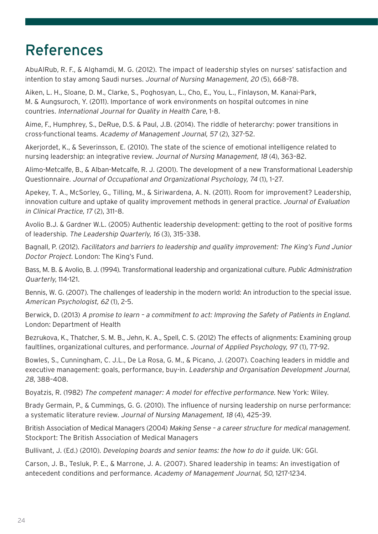### References

AbuAlRub, R. F., & Alghamdi, M. G. (2012). The impact of leadership styles on nurses' satisfaction and intention to stay among Saudi nurses. Journal of Nursing Management, 20 (5), 668–78.

Aiken, L. H., Sloane, D. M., Clarke, S., Poghosyan, L., Cho, E., You, L., Finlayson, M. Kanai-Park, M. & Aungsuroch, Y. (2011). Importance of work environments on hospital outcomes in nine countries. International Journal for Quality in Health Care, 1-8.

Aime, F., Humphrey, S., DeRue, D.S. & Paul, J.B. (2014). The riddle of heterarchy: power transitions in cross-functional teams. Academy of Management Journal, 57 (2), 327-52.

Akerjordet, K., & Severinsson, E. (2010). The state of the science of emotional intelligence related to nursing leadership: an integrative review. Journal of Nursing Management, 18 (4), 363–82.

Alimo-Metcalfe, B., & Alban-Metcalfe, R. J. (2001). The development of a new Transformational Leadership Questionnaire. Journal of Occupational and Organizational Psychology, 74 (1), 1–27.

Apekey, T. A., McSorley, G., Tilling, M., & Siriwardena, A. N. (2011). Room for improvement? Leadership, innovation culture and uptake of quality improvement methods in general practice. Journal of Evaluation in Clinical Practice, 17 (2), 311–8.

Avolio B.J. & Gardner W.L. (2005) Authentic leadership development: getting to the root of positive forms of leadership. The Leadership Quarterly, 16 (3), 315–338.

Bagnall, P. (2012). Facilitators and barriers to leadership and quality improvement: The King's Fund Junior Doctor Project. London: The King's Fund.

Bass, M. B. & Avolio, B. J. (1994). Transformational leadership and organizational culture. Public Administration Quarterly, 114-121.

Bennis, W. G. (2007). The challenges of leadership in the modern world: An introduction to the special issue. American Psychologist, 62 (1), 2-5.

Berwick, D. (2013) A promise to learn - a commitment to act: Improving the Safety of Patients in England. London: Department of Health

Bezrukova, K., Thatcher, S. M. B., Jehn, K. A., Spell, C. S. (2012) The effects of alignments: Examining group faultlines, organizational cultures, and performance. Journal of Applied Psychology, 97 (1), 77-92.

Bowles, S., Cunningham, C. J.L., De La Rosa, G. M., & Picano, J. (2007). Coaching leaders in middle and executive management: goals, performance, buy-in. Leadership and Organisation Development Journal, 28, 388–408.

Boyatzis, R. (1982) The competent manager: A model for effective performance. New York: Wiley.

Brady Germain, P., & Cummings, G. G. (2010). The influence of nursing leadership on nurse performance: a systematic literature review. Journal of Nursing Management, 18 (4), 425–39.

British Association of Medical Managers (2004) Making Sense - a career structure for medical management. Stockport: The British Association of Medical Managers

Bullivant, J. (Ed.) (2010). Developing boards and senior teams: the how to do it guide. UK: GGI.

Carson, J. B., Tesluk, P. E., & Marrone, J. A. (2007). Shared leadership in teams: An investigation of antecedent conditions and performance. Academy of Management Journal, 50, 1217-1234.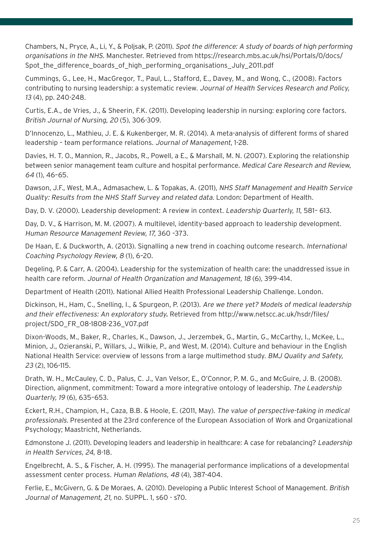Chambers, N., Pryce, A., Li, Y., & Poljsak, P. (2011). Spot the difference: A study of boards of high performing organisations in the NHS. Manchester. Retrieved from https://research.mbs.ac.uk/hsi/Portals/0/docs/ Spot\_the\_difference\_boards\_of\_high\_performing\_organisations\_July\_2011.pdf

Cummings, G., Lee, H., MacGregor, T., Paul, L., Stafford, E., Davey, M., and Wong, C., (2008). Factors contributing to nursing leadership: a systematic review. Journal of Health Services Research and Policy, 13 (4), pp. 240-248.

Curtis, E.A., de Vries, J., & Sheerin, F.K. (2011). Developing leadership in nursing: exploring core factors. British Journal of Nursing, 20 (5), 306-309.

D'Innocenzo, L., Mathieu, J. E. & Kukenberger, M. R. (2014). A meta-analysis of different forms of shared leadership – team performance relations. Journal of Management, 1-28.

Davies, H. T. O., Mannion, R., Jacobs, R., Powell, a E., & Marshall, M. N. (2007). Exploring the relationship between senior management team culture and hospital performance. Medical Care Research and Review, 64 (1), 46–65.

Dawson, J.F., West, M.A., Admasachew, L. & Topakas, A. (2011), NHS Staff Management and Health Service Quality: Results from the NHS Staff Survey and related data. London: Department of Health.

Day, D. V. (2000). Leadership development: A review in context. Leadership Quarterly, 11, 581-613.

Day, D. V., & Harrison, M. M. (2007). A multilevel, identity-based approach to leadership development. Human Resource Management Review, 17, 360 –373.

De Haan, E. & Duckworth, A. (2013). Signalling a new trend in coaching outcome research. International Coaching Psychology Review, 8 (1), 6–20.

Degeling, P. & Carr, A. (2004). Leadership for the systemization of health care: the unaddressed issue in health care reform. Journal of Health Organization and Management, 18 (6), 399-414.

Department of Health (2011). National Allied Health Professional Leadership Challenge. London.

Dickinson, H., Ham, C., Snelling, I., & Spurgeon, P. (2013). Are we there yet? Models of medical leadership and their effectiveness: An exploratory study. Retrieved from http://www.netscc.ac.uk/hsdr/files/ project/SDO\_FR\_08-1808-236\_V07.pdf

Dixon-Woods, M., Baker, R., Charles, K., Dawson, J., Jerzembek, G., Martin, G., McCarthy, I., McKee, L., Minion, J., Ozieranski, P., Willars, J., Wilkie, P., and West, M. (2014). Culture and behaviour in the English National Health Service: overview of lessons from a large multimethod study. BMJ Quality and Safety, 23 (2), 106-115.

Drath, W. H., McCauley, C. D., Palus, C. J., Van Velsor, E., O'Connor, P. M. G., and McGuire, J. B. (2008). Direction, alignment, commitment: Toward a more integrative ontology of leadership. The Leadership Quarterly, 19 (6), 635–653.

Eckert, R.H., Champion, H., Caza, B.B. & Hoole, E. (2011, May). The value of perspective-taking in medical professionals. Presented at the 23rd conference of the European Association of Work and Organizational Psychology; Maastricht, Netherlands.

Edmonstone J. (2011). Developing leaders and leadership in healthcare: A case for rebalancing? Leadership in Health Services, 24, 8-18.

Engelbrecht, A. S., & Fischer, A. H. (1995). The managerial performance implications of a developmental assessment center process. Human Relations, 48 (4), 387-404.

Ferlie, E., McGivern, G. & De Moraes, A. (2010). Developing a Public Interest School of Management. British Journal of Management, 21, no. SUPPL. 1, s60 - s70.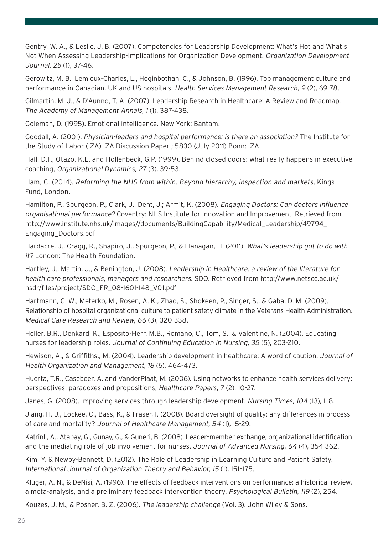Gentry, W. A., & Leslie, J. B. (2007). Competencies for Leadership Development: What's Hot and What's Not When Assessing Leadership-Implications for Organization Development. Organization Development Journal, 25 (1), 37-46.

Gerowitz, M. B., Lemieux-Charles, L., Heginbothan, C., & Johnson, B. (1996). Top management culture and performance in Canadian, UK and US hospitals. Health Services Management Research, 9 (2), 69-78.

Gilmartin, M. J., & D'Aunno, T. A. (2007). Leadership Research in Healthcare: A Review and Roadmap. The Academy of Management Annals, 1 (1), 387-438.

Goleman, D. (1995). Emotional intelligence. New York: Bantam.

Goodall, A. (2001). Physician-leaders and hospital performance: is there an association? The Institute for the Study of Labor (IZA) IZA Discussion Paper ; 5830 (July 2011) Bonn: IZA.

Hall, D.T., Otazo, K.L. and Hollenbeck, G.P. (1999). Behind closed doors: what really happens in executive coaching, Organizational Dynamics, 27 (3), 39-53.

Ham, C. (2014). Reforming the NHS from within. Beyond hierarchy, inspection and markets, Kings Fund, London.

Hamilton, P., Spurgeon, P., Clark, J., Dent, J.; Armit, K. (2008). Engaging Doctors: Can doctors influence organisational performance? Coventry: NHS Institute for Innovation and Improvement. Retrieved from http://www.institute.nhs.uk/images//documents/BuildingCapability/Medical\_Leadership/49794\_ Engaging\_Doctors.pdf

Hardacre, J., Cragg, R., Shapiro, J., Spurgeon, P., & Flanagan, H. (2011). What's leadership got to do with it? London: The Health Foundation.

Hartley, J., Martin, J., & Benington, J. (2008). Leadership in Healthcare: a review of the literature for health care professionals, managers and researchers. SDO. Retrieved from http://www.netscc.ac.uk/ hsdr/files/project/SDO\_FR\_08-1601-148\_V01.pdf

Hartmann, C. W., Meterko, M., Rosen, A. K., Zhao, S., Shokeen, P., Singer, S., & Gaba, D. M. (2009). Relationship of hospital organizational culture to patient safety climate in the Veterans Health Administration. Medical Care Research and Review, 66 (3), 320-338.

Heller, B.R., Denkard, K., Esposito-Herr, M.B., Romano, C., Tom, S., & Valentine, N. (2004). Educating nurses for leadership roles. Journal of Continuing Education in Nursing, 35 (5), 203-210.

Hewison, A., & Griffiths., M. (2004). Leadership development in healthcare: A word of caution. Journal of Health Organization and Management, 18 (6), 464-473.

Huerta, T.R., Casebeer, A. and VanderPlaat, M. (2006). Using networks to enhance health services delivery: perspectives, paradoxes and propositions, Healthcare Papers, 7 (2), 10-27.

Janes, G. (2008). Improving services through leadership development. Nursing Times, 104 (13), 1–8.

Jiang, H. J., Lockee, C., Bass, K., & Fraser, I. (2008). Board oversight of quality: any differences in process of care and mortality? Journal of Healthcare Management, 54 (1), 15-29.

Katrinli, A., Atabay, G., Gunay, G., & Guneri, B. (2008). Leader–member exchange, organizational identification and the mediating role of job involvement for nurses. Journal of Advanced Nursing, 64 (4), 354-362.

Kim, Y. & Newby-Bennett, D. (2012). The Role of Leadership in Learning Culture and Patient Safety. International Journal of Organization Theory and Behavior, 15 (1), 151–175.

Kluger, A. N., & DeNisi, A. (1996). The effects of feedback interventions on performance: a historical review, a meta-analysis, and a preliminary feedback intervention theory. Psychological Bulletin, 119 (2), 254.

Kouzes, J. M., & Posner, B. Z. (2006). The leadership challenge (Vol. 3). John Wiley & Sons.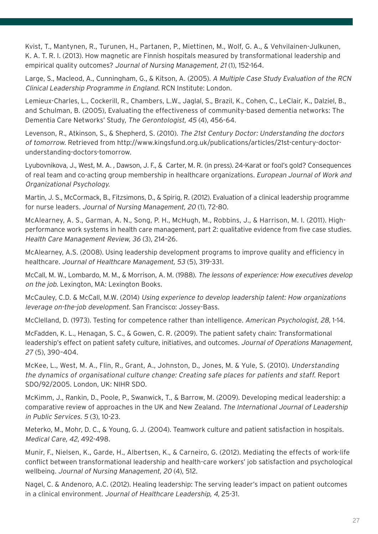Kvist, T., Mantynen, R., Turunen, H., Partanen, P., Miettinen, M., Wolf, G. A., & Vehvilainen-Julkunen, K. A. T. R. I. (2013). How magnetic are Finnish hospitals measured by transformational leadership and empirical quality outcomes? Journal of Nursing Management, 21 (1), 152-164.

Large, S., Macleod, A., Cunningham, G., & Kitson, A. (2005). A Multiple Case Study Evaluation of the RCN Clinical Leadership Programme in England. RCN Institute: London.

Lemieux-Charles, L., Cockerill, R., Chambers, L.W., Jaglal, S., Brazil, K., Cohen, C., LeClair, K., Dalziel, B., and Schulman, B. (2005), Evaluating the effectiveness of community-based dementia networks: The Dementia Care Networks' Study, The Gerontologist, 45 (4), 456-64.

Levenson, R., Atkinson, S., & Shepherd, S. (2010). The 21st Century Doctor: Understanding the doctors of tomorrow. Retrieved from http://www.kingsfund.org.uk/publications/articles/21st-century-doctorunderstanding-doctors-tomorrow.

Lyubovnikova, J., West, M. A. , Dawson, J. F., & Carter, M. R. (in press). 24-Karat or fool's gold? Consequences of real team and co-acting group membership in healthcare organizations. European Journal of Work and Organizational Psychology.

Martin, J. S., McCormack, B., Fitzsimons, D., & Spirig, R. (2012). Evaluation of a clinical leadership programme for nurse leaders. Journal of Nursing Management, 20 (1), 72-80.

McAlearney, A. S., Garman, A. N., Song, P. H., McHugh, M., Robbins, J., & Harrison, M. I. (2011). Highperformance work systems in health care management, part 2: qualitative evidence from five case studies. Health Care Management Review, 36 (3), 214–26.

McAlearney, A.S. (2008). Using leadership development programs to improve quality and efficiency in healthcare. Journal of Healthcare Management, 53 (5), 319-331.

McCall, M. W., Lombardo, M. M., & Morrison, A. M. (1988). The lessons of experience: How executives develop on the job. Lexington, MA: Lexington Books.

McCauley, C.D. & McCall, M.W. (2014) Using experience to develop leadership talent: How organizations leverage on-the-job development. San Francisco: Jossey-Bass.

McClelland, D. (1973). Testing for competence rather than intelligence. American Psychologist, 28, 1-14.

McFadden, K. L., Henagan, S. C., & Gowen, C. R. (2009). The patient safety chain: Transformational leadership's effect on patient safety culture, initiatives, and outcomes. Journal of Operations Management, 27 (5), 390–404.

McKee, L., West, M. A., Flin, R., Grant, A., Johnston, D., Jones, M. & Yule, S. (2010). Understanding the dynamics of organisational culture change: Creating safe places for patients and staff. Report SDO/92/2005. London, UK: NIHR SDO.

McKimm, J., Rankin, D., Poole, P., Swanwick, T., & Barrow, M. (2009). Developing medical leadership: a comparative review of approaches in the UK and New Zealand. The International Journal of Leadership in Public Services. 5 (3), 10-23.

Meterko, M., Mohr, D. C., & Young, G. J. (2004). Teamwork culture and patient satisfaction in hospitals. Medical Care, 42, 492-498.

Munir, F., Nielsen, K., Garde, H., Albertsen, K., & Carneiro, G. (2012). Mediating the effects of work-life conflict between transformational leadership and health-care workers' job satisfaction and psychological wellbeing. Journal of Nursing Management, 20 (4), 512.

Nagel, C. & Andenoro, A.C. (2012). Healing leadership: The serving leader's impact on patient outcomes in a clinical environment. Journal of Healthcare Leadership, 4, 25-31.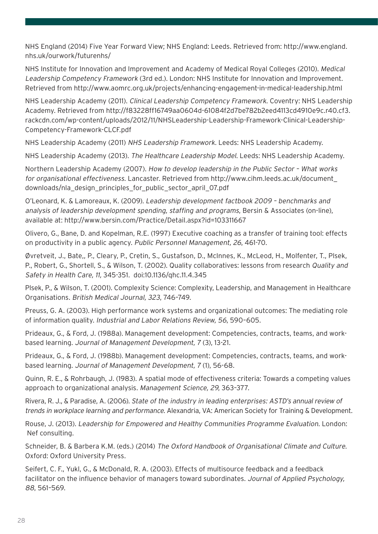NHS England (2014) Five Year Forward View; NHS England: Leeds. Retrieved from: http://www.england. nhs.uk/ourwork/futurenhs/

NHS Institute for Innovation and Improvement and Academy of Medical Royal Colleges (2010). Medical Leadership Competency Framework (3rd ed.). London: NHS Institute for Innovation and Improvement. Retrieved from http://www.aomrc.org.uk/projects/enhancing-engagement-in-medical-leadership.html

NHS Leadership Academy (2011). Clinical Leadership Competency Framework. Coventry: NHS Leadership Academy. Retrieved from http://f83228ff16749aa0604d-61084f2d7be782b2eed4113cd4910e9c.r40.cf3. rackcdn.com/wp-content/uploads/2012/11/NHSLeadership-Leadership-Framework-Clinical-Leadership-Competency-Framework-CLCF.pdf

NHS Leadership Academy (2011) NHS Leadership Framework. Leeds: NHS Leadership Academy.

NHS Leadership Academy (2013). The Healthcare Leadership Model. Leeds: NHS Leadership Academy.

Northern Leadership Academy (2007). How to develop leadership in the Public Sector – What works for organisational effectiveness. Lancaster. Retrieved from http://www.cihm.leeds.ac.uk/document\_ downloads/nla\_design\_principles\_for\_public\_sector\_april\_07.pdf

O'Leonard, K. & Lamoreaux, K. (2009). Leadership development factbook 2009 – benchmarks and analysis of leadership development spending, staffing and programs, Bersin & Associates (on-line), available at: http://www.bersin.com/Practice/Detail.aspx?id=103311667

Olivero, G., Bane, D. and Kopelman, R.E. (1997) Executive coaching as a transfer of training tool: effects on productivity in a public agency. Public Personnel Management, 26, 461-70.

Øvretveit, J., Bate,, P., Cleary, P., Cretin, S., Gustafson, D., McInnes, K., McLeod, H., Molfenter, T., Plsek, P., Robert, G., Shortell, S., & Wilson, T. (2002). Quality collaboratives: lessons from research Quality and Safety in Health Care, 11, 345-351. doi:10.1136/qhc.11.4.345

Plsek, P., & Wilson, T. (2001). Complexity Science: Complexity, Leadership, and Management in Healthcare Organisations. British Medical Journal, 323, 746–749.

Preuss, G. A. (2003). High performance work systems and organizational outcomes: The mediating role of information quality. Industrial and Labor Relations Review, 56, 590–605.

Prideaux, G., & Ford, J. (1988a). Management development: Competencies, contracts, teams, and workbased learning. Journal of Management Development, 7 (3), 13-21.

Prideaux, G., & Ford, J. (1988b). Management development: Competencies, contracts, teams, and workbased learning. Journal of Management Development, 7 (1), 56-68.

Quinn, R. E., & Rohrbaugh, J. (1983). A spatial mode of effectiveness criteria: Towards a competing values approach to organizational analysis. Management Science, 29, 363–377.

Rivera, R. J., & Paradise, A. (2006). State of the industry in leading enterprises: ASTD's annual review of trends in workplace learning and performance. Alexandria, VA: American Society for Training & Development.

Rouse, J. (2013). Leadership for Empowered and Healthy Communities Programme Evaluation. London: Nef consulting.

Schneider, B. & Barbera K.M. (eds.) (2014) The Oxford Handbook of Organisational Climate and Culture. Oxford: Oxford University Press.

Seifert, C. F., Yukl, G., & McDonald, R. A. (2003). Effects of multisource feedback and a feedback facilitator on the influence behavior of managers toward subordinates. Journal of Applied Psychology, 88, 561–569.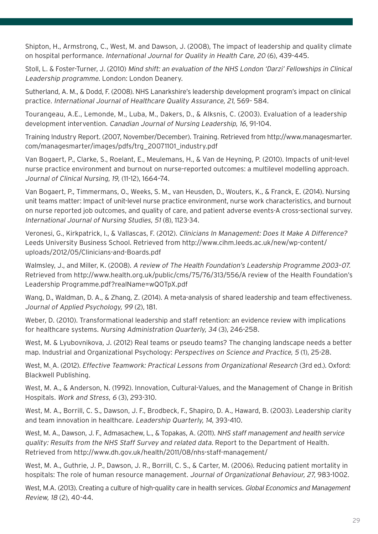Shipton, H., Armstrong, C., West, M. and Dawson, J. (2008), The impact of leadership and quality climate on hospital performance. International Journal for Quality in Health Care, 20 (6), 439-445.

Stoll, L. & Foster-Turner, J. (2010) Mind shift: an evaluation of the NHS London 'Darzi' Fellowships in Clinical Leadership programme. London: London Deanery.

Sutherland, A. M., & Dodd, F. (2008). NHS Lanarkshire's leadership development program's impact on clinical practice. International Journal of Healthcare Quality Assurance, 21, 569- 584.

Tourangeau, A.E., Lemonde, M., Luba, M., Dakers, D., & Alksnis, C. (2003). Evaluation of a leadership development intervention. Canadian Journal of Nursing Leadership, 16, 91-104.

Training Industry Report. (2007, November/December). Training. Retrieved from http://www.managesmarter. com/managesmarter/images/pdfs/trg\_20071101\_industry.pdf

Van Bogaert, P., Clarke, S., Roelant, E., Meulemans, H., & Van de Heyning, P. (2010). Impacts of unit-level nurse practice environment and burnout on nurse-reported outcomes: a multilevel modelling approach. Journal of Clinical Nursing, 19, (11-12), 1664–74.

Van Bogaert, P., Timmermans, O., Weeks, S. M., van Heusden, D., Wouters, K., & Franck, E. (2014). Nursing unit teams matter: Impact of unit-level nurse practice environment, nurse work characteristics, and burnout on nurse reported job outcomes, and quality of care, and patient adverse events-A cross-sectional survey. International Journal of Nursing Studies, 51 (8), 1123-34.

Veronesi, G., Kirkpatrick, I., & Vallascas, F. (2012). Clinicians In Management: Does It Make A Difference? Leeds University Business School. Retrieved from http://www.cihm.leeds.ac.uk/new/wp-content/ uploads/2012/05/Clinicians-and-Boards.pdf

Walmsley, J., and Miller, K. (2008). A review of The Health Foundation's Leadership Programme 2003–07. Retrieved from http://www.health.org.uk/public/cms/75/76/313/556/A review of the Health Foundation's Leadership Programme.pdf?realName=wQOTpX.pdf

Wang, D., Waldman, D. A., & Zhang, Z. (2014). A meta-analysis of shared leadership and team effectiveness. Journal of Applied Psychology, 99 (2), 181.

Weber, D. (2010). Transformational leadership and staff retention: an evidence review with implications for healthcare systems. Nursing Administration Quarterly, 34 (3), 246-258.

West, M. & Lyubovnikova, J. (2012) Real teams or pseudo teams? The changing landscape needs a better map. Industrial and Organizational Psychology: Perspectives on Science and Practice, 5 (1), 25-28.

West, M. A. (2012). Effective Teamwork: Practical Lessons from Organizational Research (3rd ed.). Oxford: Blackwell Publishing.

West, M. A., & Anderson, N. (1992). Innovation, Cultural-Values, and the Management of Change in British Hospitals. Work and Stress, 6 (3), 293-310.

West, M. A., Borrill, C. S., Dawson, J. F., Brodbeck, F., Shapiro, D. A., Haward, B. (2003). Leadership clarity and team innovation in healthcare. Leadership Quarterly, 14, 393-410.

West, M. A., Dawson, J. F., Admasachew, L., & Topakas, A. (2011). NHS staff management and health service quality: Results from the NHS Staff Survey and related data. Report to the Department of Health. Retrieved from http://www.dh.gov.uk/health/2011/08/nhs-staff-management/

West, M. A., Guthrie, J. P., Dawson, J. R., Borrill, C. S., & Carter, M. (2006). Reducing patient mortality in hospitals: The role of human resource management. Journal of Organizational Behaviour, 27, 983-1002.

West, M.A. (2013). Creating a culture of high-quality care in health services. Global Economics and Management Review, 18 (2), 40-44.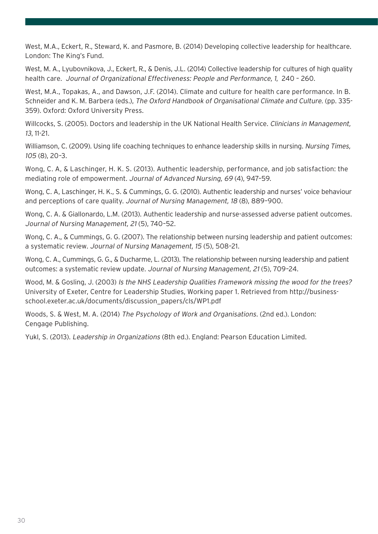West, M.A., Eckert, R., Steward, K. and Pasmore, B. (2014) Developing collective leadership for healthcare. London: The King's Fund.

West, M. A., Lyubovnikova, J., Eckert, R., & Denis, J.L. (2014) Collective leadership for cultures of high quality health care. Journal of Organizational Effectiveness: People and Performance, 1, 240 – 260.

West, M.A., Topakas, A., and Dawson, J.F. (2014). Climate and culture for health care performance. In B. Schneider and K. M. Barbera (eds.), The Oxford Handbook of Organisational Climate and Culture. (pp. 335- 359). Oxford: Oxford University Press.

Willcocks, S. (2005). Doctors and leadership in the UK National Health Service. Clinicians in Management, 13, 11-21.

Williamson, C. (2009). Using life coaching techniques to enhance leadership skills in nursing. Nursing Times, 105 (8), 20–3.

Wong, C. A, & Laschinger, H. K. S. (2013). Authentic leadership, performance, and job satisfaction: the mediating role of empowerment. Journal of Advanced Nursing, 69 (4), 947–59.

Wong, C. A, Laschinger, H. K., S. & Cummings, G. G. (2010). Authentic leadership and nurses' voice behaviour and perceptions of care quality. Journal of Nursing Management, 18 (8), 889–900.

Wong, C. A. & Giallonardo, L.M. (2013). Authentic leadership and nurse-assessed adverse patient outcomes. Journal of Nursing Management, 21 (5), 740–52.

Wong, C. A., & Cummings, G. G. (2007). The relationship between nursing leadership and patient outcomes: a systematic review. Journal of Nursing Management, 15 (5), 508–21.

Wong, C. A., Cummings, G. G., & Ducharme, L. (2013). The relationship between nursing leadership and patient outcomes: a systematic review update. Journal of Nursing Management, 21 (5), 709–24.

Wood, M. & Gosling, J. (2003) Is the NHS Leadership Qualities Framework missing the wood for the trees? University of Exeter, Centre for Leadership Studies, Working paper 1. Retrieved from http://businessschool.exeter.ac.uk/documents/discussion\_papers/cls/WP1.pdf

Woods, S. & West, M. A. (2014) The Psychology of Work and Organisations. (2nd ed.). London: Cengage Publishing.

Yukl, S. (2013). Leadership in Organizations (8th ed.). England: Pearson Education Limited.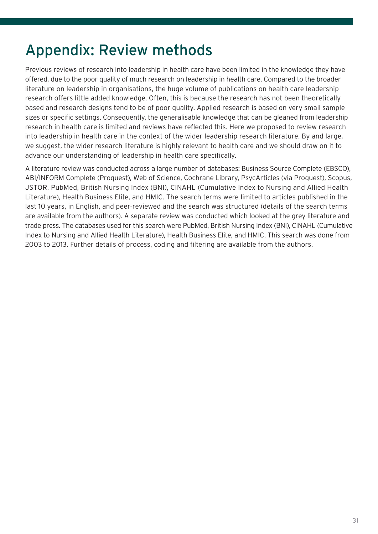## Appendix: Review methods

Previous reviews of research into leadership in health care have been limited in the knowledge they have offered, due to the poor quality of much research on leadership in health care. Compared to the broader literature on leadership in organisations, the huge volume of publications on health care leadership research offers little added knowledge. Often, this is because the research has not been theoretically based and research designs tend to be of poor quality. Applied research is based on very small sample sizes or specific settings. Consequently, the generalisable knowledge that can be gleaned from leadership research in health care is limited and reviews have reflected this. Here we proposed to review research into leadership in health care in the context of the wider leadership research literature. By and large, we suggest, the wider research literature is highly relevant to health care and we should draw on it to advance our understanding of leadership in health care specifically.

A literature review was conducted across a large number of databases: Business Source Complete (EBSCO), ABI/INFORM Complete (Proquest), Web of Science, Cochrane Library, PsycArticles (via Proquest), Scopus, JSTOR, PubMed, British Nursing Index (BNI), CINAHL (Cumulative Index to Nursing and Allied Health Literature), Health Business Elite, and HMIC. The search terms were limited to articles published in the last 10 years, in English, and peer-reviewed and the search was structured (details of the search terms are available from the authors). A separate review was conducted which looked at the grey literature and trade press. The databases used for this search were PubMed, British Nursing Index (BNI), CINAHL (Cumulative Index to Nursing and Allied Health Literature), Health Business Elite, and HMIC. This search was done from 2003 to 2013. Further details of process, coding and filtering are available from the authors.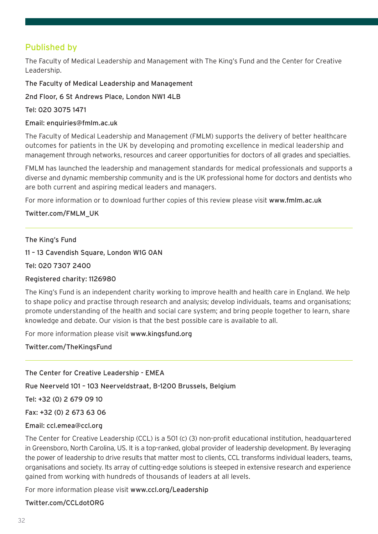### Published by

The Faculty of Medical Leadership and Management with The King's Fund and the Center for Creative Leadership.

The Faculty of Medical Leadership and Management

2nd Floor, 6 St Andrews Place, London NW1 4LB

Tel: 020 3075 1471

Email: enquiries@fmlm.ac.uk

The Faculty of Medical Leadership and Management (FMLM) supports the delivery of better healthcare outcomes for patients in the UK by developing and promoting excellence in medical leadership and management through networks, resources and career opportunities for doctors of all grades and specialties.

FMLM has launched the leadership and management standards for medical professionals and supports a diverse and dynamic membership community and is the UK professional home for doctors and dentists who are both current and aspiring medical leaders and managers.

For more information or to download further copies of this review please visit www.fmlm.ac.uk

#### Twitter.com/FMLM\_UK

#### The King's Fund

11 – 13 Cavendish Square, London W1G 0AN

Tel: 020 7307 2400

#### Registered charity: 1126980

The King's Fund is an independent charity working to improve health and health care in England. We help to shape policy and practise through research and analysis; develop individuals, teams and organisations; promote understanding of the health and social care system; and bring people together to learn, share knowledge and debate. Our vision is that the best possible care is available to all.

For more information please visit www.kingsfund.org

Twitter.com/TheKingsFund

The Center for Creative Leadership - EMEA

Rue Neerveld 101 – 103 Neerveldstraat, B-1200 Brussels, Belgium

Tel: +32 (0) 2 679 09 10

Fax: +32 (0) 2 673 63 06

#### Email: ccl.emea@ccl.org

The Center for Creative Leadership (CCL) is a 501 (c) (3) non-profit educational institution, headquartered in Greensboro, North Carolina, US. It is a top-ranked, global provider of leadership development. By leveraging the power of leadership to drive results that matter most to clients, CCL transforms individual leaders, teams, organisations and society. Its array of cutting-edge solutions is steeped in extensive research and experience gained from working with hundreds of thousands of leaders at all levels.

For more information please visit www.ccl.org/Leadership

Twitter.com/CCLdotORG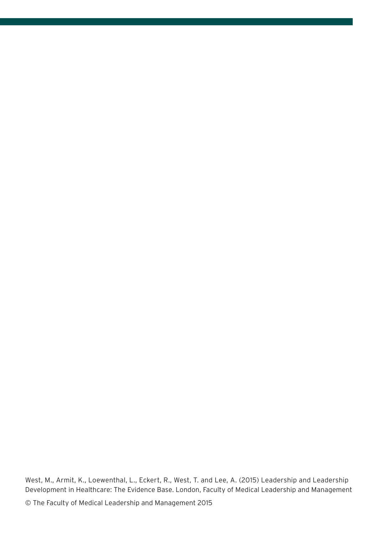West, M., Armit, K., Loewenthal, L., Eckert, R., West, T. and Lee, A. (2015) Leadership and Leadership Development in Healthcare: The Evidence Base. London, Faculty of Medical Leadership and Management

© The Faculty of Medical Leadership and Management 2015